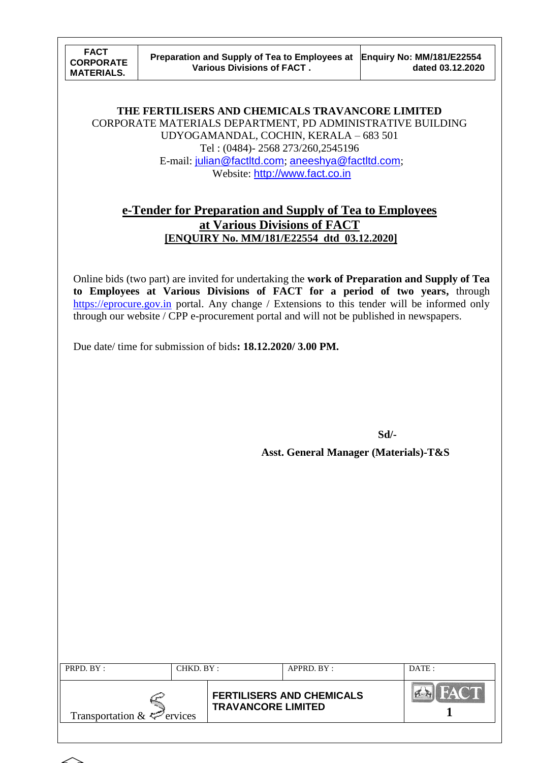**THE FERTILISERS AND CHEMICALS TRAVANCORE LIMITED** CORPORATE MATERIALS DEPARTMENT, PD ADMINISTRATIVE BUILDING UDYOGAMANDAL, COCHIN, KERALA – 683 501 Tel : (0484)- 2568 273/260,2545196 E-mail: [julian@factltd.com](mailto:julian@factltd.com); [aneeshya@factltd.com](mailto:aneeshya@factltd.com); Website: [http://www.fact.co.in](http://www.fact.co.in/)

## **e-Tender for Preparation and Supply of Tea to Employees at Various Divisions of FACT [ENQUIRY No. MM/181/E22554 dtd 03.12.2020]**

Online bids (two part) are invited for undertaking the **work of Preparation and Supply of Tea to Employees at Various Divisions of FACT for a period of two years,** through [https://eprocure.gov.in](https://eprocure.gov.in/) portal. Any change / Extensions to this tender will be informed only through our website / CPP e-procurement portal and will not be published in newspapers.

Due date/ time for submission of bids**: 18.12.2020/ 3.00 PM.**

**Sd/- Asst. General Manager (Materials)-T&S**

| PRPD. $BY:$                     | CHKD. BY:                 |  | APPRD. BY:                       | DATE: |
|---------------------------------|---------------------------|--|----------------------------------|-------|
| Transportation $\&\leq$ ervices | <b>TRAVANCORE LIMITED</b> |  | <b>FERTILISERS AND CHEMICALS</b> |       |

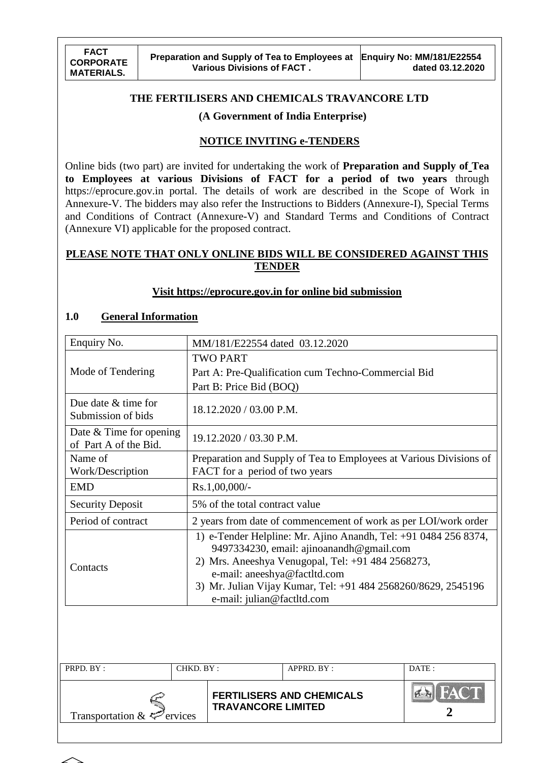#### **THE FERTILISERS AND CHEMICALS TRAVANCORE LTD**

#### **(A Government of India Enterprise)**

#### **NOTICE INVITING e-TENDERS**

Online bids (two part) are invited for undertaking the work of **Preparation and Supply of Tea to Employees at various Divisions of FACT for a period of two years** through [https://eprocure.gov.in](https://e-procure.gov.in/) portal. The details of work are described in the Scope of Work in Annexure-V. The bidders may also refer the Instructions to Bidders (Annexure-I), Special Terms and Conditions of Contract (Annexure-V) and Standard Terms and Conditions of Contract (Annexure VI) applicable for the proposed contract.

#### **PLEASE NOTE THAT ONLY ONLINE BIDS WILL BE CONSIDERED AGAINST THIS TENDER**

#### **Visit [https://eprocure.gov.in](https://eprocure.gov.in/) for online bid submission**

### **1.0 General Information**

| Enquiry No.                                        | MM/181/E22554 dated 03.12.2020                                                                                                                                                                                                                                                                  |
|----------------------------------------------------|-------------------------------------------------------------------------------------------------------------------------------------------------------------------------------------------------------------------------------------------------------------------------------------------------|
|                                                    | <b>TWO PART</b>                                                                                                                                                                                                                                                                                 |
| Mode of Tendering                                  | Part A: Pre-Qualification cum Techno-Commercial Bid                                                                                                                                                                                                                                             |
|                                                    | Part B: Price Bid (BOQ)                                                                                                                                                                                                                                                                         |
| Due date $&$ time for<br>Submission of bids        | 18.12.2020 / 03.00 P.M.                                                                                                                                                                                                                                                                         |
| Date $&$ Time for opening<br>of Part A of the Bid. | 19.12.2020 / 03.30 P.M.                                                                                                                                                                                                                                                                         |
| Name of<br>Work/Description                        | Preparation and Supply of Tea to Employees at Various Divisions of<br>FACT for a period of two years                                                                                                                                                                                            |
| <b>EMD</b>                                         | Rs.1,00,000/-                                                                                                                                                                                                                                                                                   |
| <b>Security Deposit</b>                            | 5% of the total contract value                                                                                                                                                                                                                                                                  |
| Period of contract                                 | 2 years from date of commencement of work as per LOI/work order                                                                                                                                                                                                                                 |
| Contacts                                           | 1) e-Tender Helpline: Mr. Ajino Anandh, Tel: +91 0484 256 8374,<br>9497334230, email: ajinoanandh@gmail.com<br>2) Mrs. Aneeshya Venugopal, Tel: +91 484 2568273,<br>e-mail: aneeshya@factltd.com<br>3) Mr. Julian Vijay Kumar, Tel: +91 484 2568260/8629, 2545196<br>e-mail: julian@factltd.com |

| PRPD. BY:                              | CHKD. BY: |                           | $APPRD$ $BY:$                    | $\overline{DATE}$ : |
|----------------------------------------|-----------|---------------------------|----------------------------------|---------------------|
| Transportation $\&\leq^{\sim}$ ervices |           | <b>TRAVANCORE LIMITED</b> | <b>FERTILISERS AND CHEMICALS</b> | HACTI               |

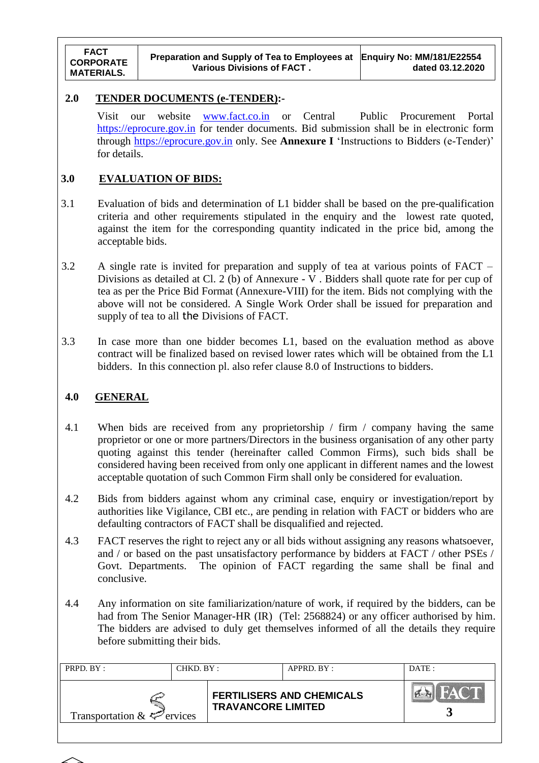#### **2.0 TENDER DOCUMENTS (e-TENDER):-**

Visit our website [www.fact.co.in](http://www.fact.co.in/) or Central Public Procurement Portal [https://eprocure.gov.in](https://eprocure.gov.in/) for tender documents. Bid submission shall be in electronic form through [https://eprocure.gov.in](https://eprocure.gov.in/) only. See **Annexure I** "Instructions to Bidders (e-Tender)" for details.

### **3.0 EVALUATION OF BIDS:**

- 3.1 Evaluation of bids and determination of L1 bidder shall be based on the pre-qualification criteria and other requirements stipulated in the enquiry and the lowest rate quoted, against the item for the corresponding quantity indicated in the price bid, among the acceptable bids.
- 3.2 A single rate is invited for preparation and supply of tea at various points of FACT Divisions as detailed at Cl. 2 (b) of Annexure - V . Bidders shall quote rate for per cup of tea as per the Price Bid Format (Annexure-VIII) for the item. Bids not complying with the above will not be considered. A Single Work Order shall be issued for preparation and supply of tea to all the Divisions of FACT.
- 3.3 In case more than one bidder becomes L1, based on the evaluation method as above contract will be finalized based on revised lower rates which will be obtained from the L1 bidders. In this connection pl. also refer clause 8.0 of Instructions to bidders.

### **4.0 GENERAL**

- 4.1 When bids are received from any proprietorship / firm / company having the same proprietor or one or more partners/Directors in the business organisation of any other party quoting against this tender (hereinafter called Common Firms), such bids shall be considered having been received from only one applicant in different names and the lowest acceptable quotation of such Common Firm shall only be considered for evaluation.
- 4.2 Bids from bidders against whom any criminal case, enquiry or investigation/report by authorities like Vigilance, CBI etc., are pending in relation with FACT or bidders who are defaulting contractors of FACT shall be disqualified and rejected.
- 4.3 FACT reserves the right to reject any or all bids without assigning any reasons whatsoever, and / or based on the past unsatisfactory performance by bidders at FACT / other PSEs / Govt. Departments. The opinion of FACT regarding the same shall be final and conclusive.
- 4.4 Any information on site familiarization/nature of work, if required by the bidders, can be had from The Senior Manager-HR (IR) (Tel: 2568824) or any officer authorised by him. The bidders are advised to duly get themselves informed of all the details they require before submitting their bids.

| PRPD. BY:                       | CHKD. BY: |                           | APPRD. BY:                       | DATE:       |
|---------------------------------|-----------|---------------------------|----------------------------------|-------------|
| Transportation $\&\&\&$ ervices |           | <b>TRAVANCORE LIMITED</b> | <b>FERTILISERS AND CHEMICALS</b> | <b>HACT</b> |

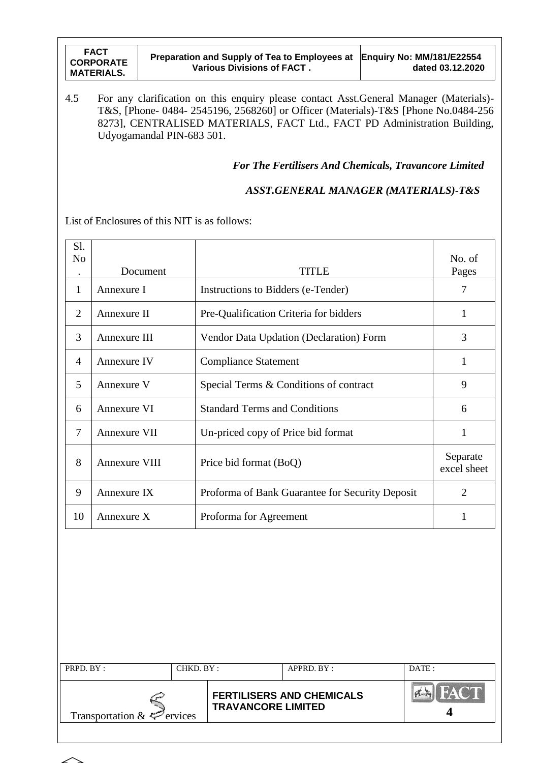| <b>FACT</b><br><b>CORPORATE</b><br><b>MATERIALS.</b> | Preparation and Supply of Tea to Employees at Enquiry No: MM/181/E22554<br>Various Divisions of FACT. | dated 03.12.2020 |
|------------------------------------------------------|-------------------------------------------------------------------------------------------------------|------------------|
|------------------------------------------------------|-------------------------------------------------------------------------------------------------------|------------------|

4.5 For any clarification on this enquiry please contact Asst.General Manager (Materials)- T&S, [Phone- 0484- 2545196, 2568260] or Officer (Materials)-T&S [Phone No.0484-256 8273], CENTRALISED MATERIALS, FACT Ltd., FACT PD Administration Building, Udyogamandal PIN-683 501.

*For The Fertilisers And Chemicals, Travancore Limited*

 *ASST.GENERAL MANAGER (MATERIALS)-T&S*

List of Enclosures of this NIT is as follows:

| Sl.<br>N <sub>o</sub> | Document             | <b>TITLE</b>                                    | No. of<br>Pages         |
|-----------------------|----------------------|-------------------------------------------------|-------------------------|
| 1                     | Annexure I           | Instructions to Bidders (e-Tender)              | $\overline{7}$          |
| $\overline{2}$        | Annexure II          | Pre-Qualification Criteria for bidders          | 1                       |
| 3                     | Annexure III         | Vendor Data Updation (Declaration) Form         | 3                       |
| $\overline{4}$        | Annexure IV          | <b>Compliance Statement</b>                     | 1                       |
| 5                     | Annexure V           | Special Terms & Conditions of contract          | 9                       |
| 6                     | Annexure VI          | <b>Standard Terms and Conditions</b>            | 6                       |
| 7                     | Annexure VII         | Un-priced copy of Price bid format              | 1                       |
| 8                     | <b>Annexure VIII</b> | Price bid format (BoQ)                          | Separate<br>excel sheet |
| 9                     | Annexure IX          | Proforma of Bank Guarantee for Security Deposit | $\overline{2}$          |
| 10                    | Annexure X           | Proforma for Agreement                          | 1                       |
|                       |                      |                                                 |                         |
|                       |                      |                                                 |                         |

| PRPD. BY:                       | CHKD. BY :                |  | APPRD. BY:                       | DATE: |
|---------------------------------|---------------------------|--|----------------------------------|-------|
| Transportation $\&\&\&$ ervices | <b>TRAVANCORE LIMITED</b> |  | <b>FERTILISERS AND CHEMICALS</b> | FACT  |

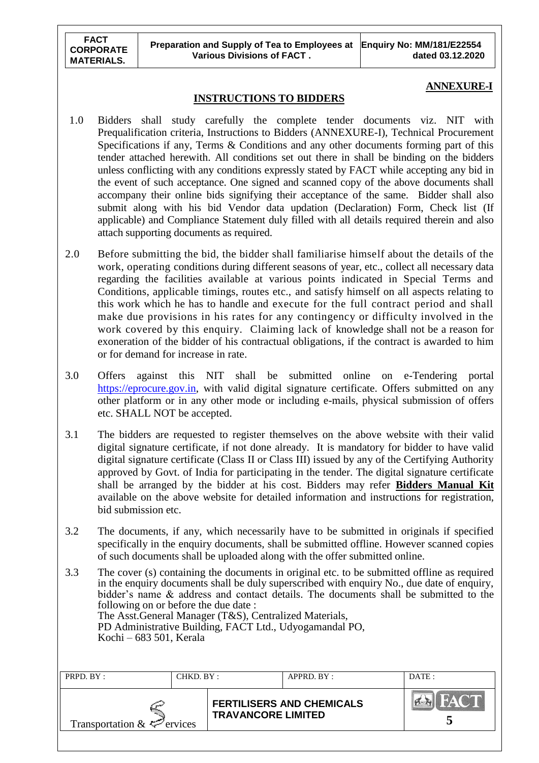## **ANNEXURE-I**

#### **INSTRUCTIONS TO BIDDERS**

- 1.0 Bidders shall study carefully the complete tender documents viz. NIT with Prequalification criteria, Instructions to Bidders (ANNEXURE-I), Technical Procurement Specifications if any, Terms & Conditions and any other documents forming part of this tender attached herewith. All conditions set out there in shall be binding on the bidders unless conflicting with any conditions expressly stated by FACT while accepting any bid in the event of such acceptance. One signed and scanned copy of the above documents shall accompany their online bids signifying their acceptance of the same. Bidder shall also submit along with his bid Vendor data updation (Declaration) Form, Check list (If applicable) and Compliance Statement duly filled with all details required therein and also attach supporting documents as required.
- 2.0 Before submitting the bid, the bidder shall familiarise himself about the details of the work, operating conditions during different seasons of year, etc., collect all necessary data regarding the facilities available at various points indicated in Special Terms and Conditions, applicable timings, routes etc., and satisfy himself on all aspects relating to this work which he has to handle and execute for the full contract period and shall make due provisions in his rates for any contingency or difficulty involved in the work covered by this enquiry. Claiming lack of knowledge shall not be a reason for exoneration of the bidder of his contractual obligations, if the contract is awarded to him or for demand for increase in rate.
- 3.0 Offers against this NIT shall be submitted online on e-Tendering portal [https://eprocure.gov.in,](https://eprocure.gov.in/) with valid digital signature certificate. Offers submitted on any other platform or in any other mode or including e-mails, physical submission of offers etc. SHALL NOT be accepted.
- 3.1 The bidders are requested to register themselves on the above website with their valid digital signature certificate, if not done already. It is mandatory for bidder to have valid digital signature certificate (Class II or Class III) issued by any of the Certifying Authority approved by Govt. of India for participating in the tender. The digital signature certificate shall be arranged by the bidder at his cost. Bidders may refer **Bidders Manual Kit**  available on the above website for detailed information and instructions for registration, bid submission etc.
- 3.2 The documents, if any, which necessarily have to be submitted in originals if specified specifically in the enquiry documents, shall be submitted offline. However scanned copies of such documents shall be uploaded along with the offer submitted online.
- 3.3 The cover (s) containing the documents in original etc. to be submitted offline as required in the enquiry documents shall be duly superscribed with enquiry No., due date of enquiry, bidder"s name & address and contact details. The documents shall be submitted to the following on or before the due date : The Asst.General Manager (T&S), Centralized Materials, PD Administrative Building, FACT Ltd., Udyogamandal PO, Kochi – 683 501, Kerala

| PRPD. BY:                       | CHKD. BY : |                           | $APPRD$ . BY :                   | DATE:        |
|---------------------------------|------------|---------------------------|----------------------------------|--------------|
| Transportation $\&\&\&$ ervices |            | <b>TRAVANCORE LIMITED</b> | <b>FERTILISERS AND CHEMICALS</b> | <b>LFACT</b> |
|                                 |            |                           |                                  |              |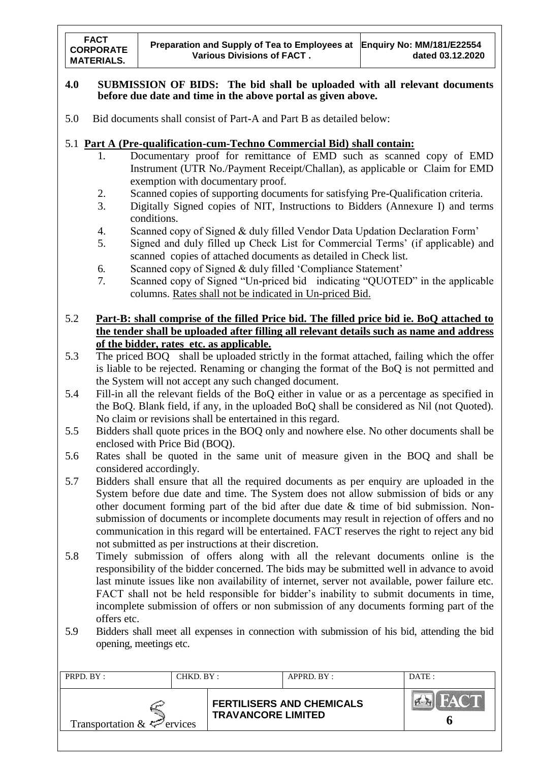#### **4.0 SUBMISSION OF BIDS: The bid shall be uploaded with all relevant documents before due date and time in the above portal as given above.**

5.0 Bid documents shall consist of Part-A and Part B as detailed below:

#### 5.1 **Part A (Pre-qualification-cum-Techno Commercial Bid) shall contain:**

- 1. Documentary proof for remittance of EMD such as scanned copy of EMD Instrument (UTR No./Payment Receipt/Challan), as applicable or Claim for EMD exemption with documentary proof.
- 2. Scanned copies of supporting documents for satisfying Pre-Qualification criteria.
- 3. Digitally Signed copies of NIT, Instructions to Bidders (Annexure I) and terms conditions.
- 4. Scanned copy of Signed & duly filled Vendor Data Updation Declaration Form"
- 5. Signed and duly filled up Check List for Commercial Terms" (if applicable) and scanned copies of attached documents as detailed in Check list.
- 6. Scanned copy of Signed & duly filled "Compliance Statement"
- 7. Scanned copy of Signed "Un-priced bid indicating "QUOTED" in the applicable columns. Rates shall not be indicated in Un-priced Bid.
- 5.2 **Part-B: shall comprise of the filled Price bid. The filled price bid ie. BoQ attached to the tender shall be uploaded after filling all relevant details such as name and address of the bidder, rates etc. as applicable.**
- 5.3 The priced BOQ shall be uploaded strictly in the format attached, failing which the offer is liable to be rejected. Renaming or changing the format of the BoQ is not permitted and the System will not accept any such changed document.
- 5.4 Fill-in all the relevant fields of the BoQ either in value or as a percentage as specified in the BoQ. Blank field, if any, in the uploaded BoQ shall be considered as Nil (not Quoted). No claim or revisions shall be entertained in this regard.
- 5.5 Bidders shall quote prices in the BOQ only and nowhere else. No other documents shall be enclosed with Price Bid (BOQ).
- 5.6 Rates shall be quoted in the same unit of measure given in the BOQ and shall be considered accordingly.
- 5.7 Bidders shall ensure that all the required documents as per enquiry are uploaded in the System before due date and time. The System does not allow submission of bids or any other document forming part of the bid after due date & time of bid submission. Nonsubmission of documents or incomplete documents may result in rejection of offers and no communication in this regard will be entertained. FACT reserves the right to reject any bid not submitted as per instructions at their discretion.
- 5.8 Timely submission of offers along with all the relevant documents online is the responsibility of the bidder concerned. The bids may be submitted well in advance to avoid last minute issues like non availability of internet, server not available, power failure etc. FACT shall not be held responsible for bidder's inability to submit documents in time, incomplete submission of offers or non submission of any documents forming part of the offers etc.
- 5.9 Bidders shall meet all expenses in connection with submission of his bid, attending the bid opening, meetings etc.

| PRPD. BY:                       | CHKD. BY: |                           | APPRD. BY:                       | DATE: |
|---------------------------------|-----------|---------------------------|----------------------------------|-------|
| Transportation $\&\&\&$ ervices |           | <b>TRAVANCORE LIMITED</b> | <b>FERTILISERS AND CHEMICALS</b> | HAC T |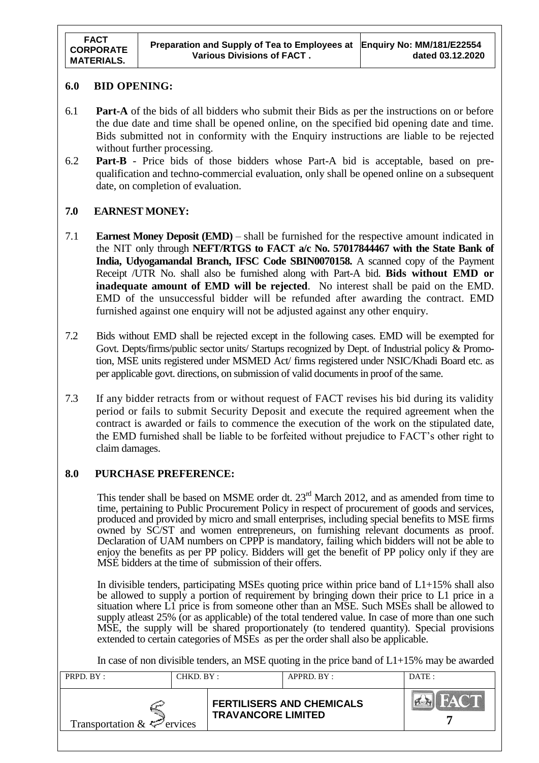#### **6.0 BID OPENING:**

- 6.1 **Part-A** of the bids of all bidders who submit their Bids as per the instructions on or before the due date and time shall be opened online, on the specified bid opening date and time. Bids submitted not in conformity with the Enquiry instructions are liable to be rejected without further processing.
- 6.2 **Part-B** Price bids of those bidders whose Part-A bid is acceptable, based on prequalification and techno-commercial evaluation, only shall be opened online on a subsequent date, on completion of evaluation.

#### **7.0 EARNEST MONEY:**

- 7.1 **Earnest Money Deposit (EMD)** shall be furnished for the respective amount indicated in the NIT only through **NEFT/RTGS to FACT a/c No. 57017844467 with the State Bank of India, Udyogamandal Branch, IFSC Code SBIN0070158.** A scanned copy of the Payment Receipt /UTR No. shall also be furnished along with Part-A bid. **Bids without EMD or inadequate amount of EMD will be rejected**. No interest shall be paid on the EMD. EMD of the unsuccessful bidder will be refunded after awarding the contract. EMD furnished against one enquiry will not be adjusted against any other enquiry.
- 7.2 Bids without EMD shall be rejected except in the following cases. EMD will be exempted for Govt. Depts/firms/public sector units/ Startups recognized by Dept. of Industrial policy & Promotion, MSE units registered under MSMED Act/ firms registered under NSIC/Khadi Board etc. as per applicable govt. directions, on submission of valid documents in proof of the same.
- 7.3 If any bidder retracts from or without request of FACT revises his bid during its validity period or fails to submit Security Deposit and execute the required agreement when the contract is awarded or fails to commence the execution of the work on the stipulated date, the EMD furnished shall be liable to be forfeited without prejudice to FACT"s other right to claim damages.

### **8.0 PURCHASE PREFERENCE:**

This tender shall be based on MSME order dt.  $23<sup>rd</sup>$  March 2012, and as amended from time to time, pertaining to Public Procurement Policy in respect of procurement of goods and services, produced and provided by micro and small enterprises, including special benefits to MSE firms owned by SC/ST and women entrepreneurs, on furnishing relevant documents as proof. Declaration of UAM numbers on CPPP is mandatory, failing which bidders will not be able to enjoy the benefits as per PP policy. Bidders will get the benefit of PP policy only if they are MSE bidders at the time of submission of their offers.

In divisible tenders, participating MSEs quoting price within price band of L1+15% shall also be allowed to supply a portion of requirement by bringing down their price to L1 price in a situation where L1 price is from someone other than an MSE. Such MSEs shall be allowed to supply atleast 25% (or as applicable) of the total tendered value. In case of more than one such MSE, the supply will be shared proportionately (to tendered quantity). Special provisions extended to certain categories of MSEs as per the order shall also be applicable.

In case of non divisible tenders, an MSE quoting in the price band of  $L1+15\%$  may be awarded

| PRPD. BY:                       | CHKD. BY: |                           | APPRD. BY:                       | DATE: |
|---------------------------------|-----------|---------------------------|----------------------------------|-------|
| Transportation $\&\leq$ ervices |           | <b>TRAVANCORE LIMITED</b> | <b>FERTILISERS AND CHEMICALS</b> |       |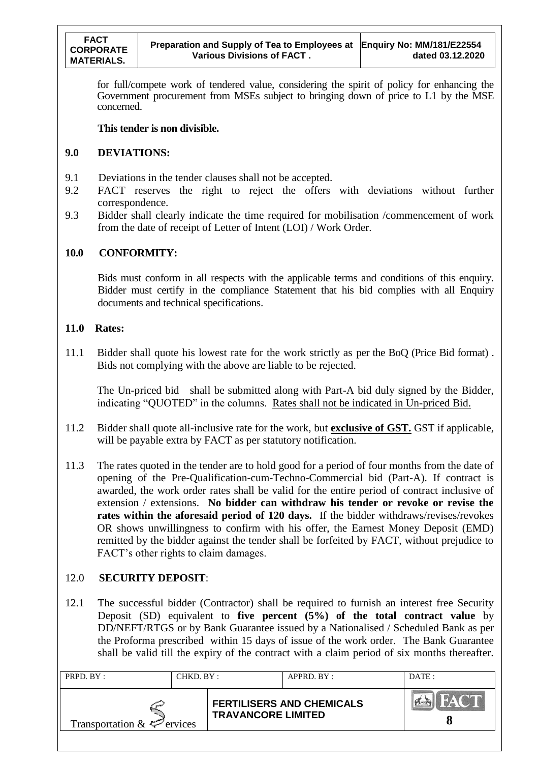for full/compete work of tendered value, considering the spirit of policy for enhancing the Government procurement from MSEs subject to bringing down of price to L1 by the MSE concerned.

#### **This tender is non divisible.**

#### **9.0 DEVIATIONS:**

- 9.1 Deviations in the tender clauses shall not be accepted.
- 9.2 FACT reserves the right to reject the offers with deviations without further correspondence.
- 9.3 Bidder shall clearly indicate the time required for mobilisation /commencement of work from the date of receipt of Letter of Intent (LOI) / Work Order.

#### **10.0 CONFORMITY:**

Bids must conform in all respects with the applicable terms and conditions of this enquiry. Bidder must certify in the compliance Statement that his bid complies with all Enquiry documents and technical specifications.

#### **11.0 Rates:**

11.1 Bidder shall quote his lowest rate for the work strictly as per the BoQ (Price Bid format) . Bids not complying with the above are liable to be rejected.

The Un-priced bid shall be submitted along with Part-A bid duly signed by the Bidder, indicating "QUOTED" in the columns. Rates shall not be indicated in Un-priced Bid.

- 11.2 Bidder shall quote all-inclusive rate for the work, but **exclusive of GST.** GST if applicable, will be payable extra by FACT as per statutory notification.
- 11.3 The rates quoted in the tender are to hold good for a period of four months from the date of opening of the Pre-Qualification-cum-Techno-Commercial bid (Part-A). If contract is awarded, the work order rates shall be valid for the entire period of contract inclusive of extension / extensions. **No bidder can withdraw his tender or revoke or revise the rates within the aforesaid period of 120 days.** If the bidder withdraws/revises/revokes OR shows unwillingness to confirm with his offer, the Earnest Money Deposit (EMD) remitted by the bidder against the tender shall be forfeited by FACT, without prejudice to FACT's other rights to claim damages.

#### 12.0 **SECURITY DEPOSIT**:

12.1 The successful bidder (Contractor) shall be required to furnish an interest free Security Deposit (SD) equivalent to **five percent (5%) of the total contract value** by DD/NEFT/RTGS or by Bank Guarantee issued by a Nationalised / Scheduled Bank as per the Proforma prescribed within 15 days of issue of the work order. The Bank Guarantee shall be valid till the expiry of the contract with a claim period of six months thereafter.

| PRPD. BY:                       | CHKD. BY: |                           | $APPRD$ $BY:$                    | DATE: |
|---------------------------------|-----------|---------------------------|----------------------------------|-------|
| Transportation $\&\leq$ ervices |           | <b>TRAVANCORE LIMITED</b> | <b>FERTILISERS AND CHEMICALS</b> |       |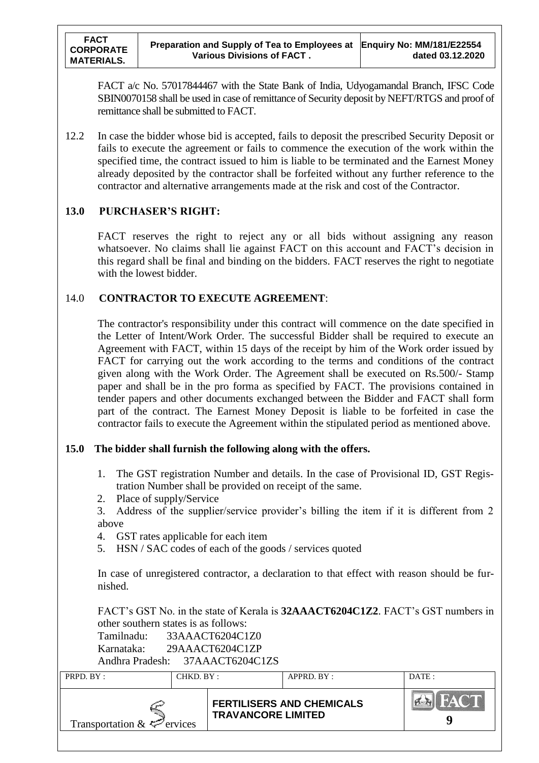FACT a/c No. 57017844467 with the State Bank of India, Udyogamandal Branch, IFSC Code SBIN0070158 shall be used in case of remittance of Security deposit by NEFT/RTGS and proof of remittance shall be submitted to FACT.

12.2 In case the bidder whose bid is accepted, fails to deposit the prescribed Security Deposit or fails to execute the agreement or fails to commence the execution of the work within the specified time, the contract issued to him is liable to be terminated and the Earnest Money already deposited by the contractor shall be forfeited without any further reference to the contractor and alternative arrangements made at the risk and cost of the Contractor.

### **13.0 PURCHASER'S RIGHT:**

FACT reserves the right to reject any or all bids without assigning any reason whatsoever. No claims shall lie against FACT on this account and FACT's decision in this regard shall be final and binding on the bidders. FACT reserves the right to negotiate with the lowest bidder.

## 14.0 **CONTRACTOR TO EXECUTE AGREEMENT**:

The contractor's responsibility under this contract will commence on the date specified in the Letter of Intent/Work Order. The successful Bidder shall be required to execute an Agreement with FACT, within 15 days of the receipt by him of the Work order issued by FACT for carrying out the work according to the terms and conditions of the contract given along with the Work Order. The Agreement shall be executed on Rs.500/- Stamp paper and shall be in the pro forma as specified by FACT. The provisions contained in tender papers and other documents exchanged between the Bidder and FACT shall form part of the contract. The Earnest Money Deposit is liable to be forfeited in case the contractor fails to execute the Agreement within the stipulated period as mentioned above.

## **15.0 The bidder shall furnish the following along with the offers.**

- 1. The GST registration Number and details. In the case of Provisional ID, GST Registration Number shall be provided on receipt of the same.
- 2. Place of supply/Service

3. Address of the supplier/service provider"s billing the item if it is different from 2 above

- 4. GST rates applicable for each item
- 5. HSN / SAC codes of each of the goods / services quoted

In case of unregistered contractor, a declaration to that effect with reason should be furnished.

FACT"s GST No. in the state of Kerala is **32AAACT6204C1Z2**. FACT"s GST numbers in other southern states is as follows:

| Tamilnadu:      | 33AAACT6204C1Z0 |
|-----------------|-----------------|
| Karnataka:      | 29AAACT6204C1ZP |
| Andhra Pradesh: | 37AAACT6204C1ZS |

| PRPD. BY:                       | CHKD. BY: |                           | APPRD. BY:                       | DATE : |
|---------------------------------|-----------|---------------------------|----------------------------------|--------|
| Transportation $\&\leq$ ervices |           | <b>TRAVANCORE LIMITED</b> | <b>FERTILISERS AND CHEMICALS</b> | HAC T  |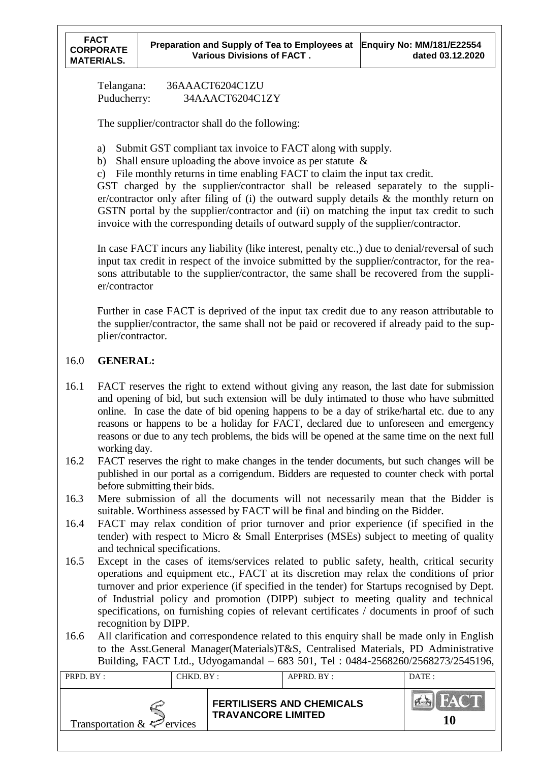Telangana: 36AAACT6204C1ZU Puducherry: 34AAACT6204C1ZY

The supplier/contractor shall do the following:

- a) Submit GST compliant tax invoice to FACT along with supply.
- b) Shall ensure uploading the above invoice as per statute  $\&$
- c) File monthly returns in time enabling FACT to claim the input tax credit.

GST charged by the supplier/contractor shall be released separately to the supplier/contractor only after filing of (i) the outward supply details & the monthly return on GSTN portal by the supplier/contractor and (ii) on matching the input tax credit to such invoice with the corresponding details of outward supply of the supplier/contractor.

In case FACT incurs any liability (like interest, penalty etc.,) due to denial/reversal of such input tax credit in respect of the invoice submitted by the supplier/contractor, for the reasons attributable to the supplier/contractor, the same shall be recovered from the supplier/contractor

Further in case FACT is deprived of the input tax credit due to any reason attributable to the supplier/contractor, the same shall not be paid or recovered if already paid to the supplier/contractor.

### 16.0 **GENERAL:**

- 16.1 FACT reserves the right to extend without giving any reason, the last date for submission and opening of bid, but such extension will be duly intimated to those who have submitted online. In case the date of bid opening happens to be a day of strike/hartal etc. due to any reasons or happens to be a holiday for FACT, declared due to unforeseen and emergency reasons or due to any tech problems, the bids will be opened at the same time on the next full working day.
- 16.2 FACT reserves the right to make changes in the tender documents, but such changes will be published in our portal as a corrigendum. Bidders are requested to counter check with portal before submitting their bids.
- 16.3 Mere submission of all the documents will not necessarily mean that the Bidder is suitable. Worthiness assessed by FACT will be final and binding on the Bidder.
- 16.4 FACT may relax condition of prior turnover and prior experience (if specified in the tender) with respect to Micro & Small Enterprises (MSEs) subject to meeting of quality and technical specifications.
- 16.5 Except in the cases of items/services related to public safety, health, critical security operations and equipment etc., FACT at its discretion may relax the conditions of prior turnover and prior experience (if specified in the tender) for Startups recognised by Dept. of Industrial policy and promotion (DIPP) subject to meeting quality and technical specifications, on furnishing copies of relevant certificates / documents in proof of such recognition by DIPP.
- 16.6 All clarification and correspondence related to this enquiry shall be made only in English to the Asst.General Manager(Materials)T&S, Centralised Materials, PD Administrative Building, FACT Ltd., Udyogamandal – 683 501, Tel : 0484-2568260/2568273/2545196,

| PRPD. BY:                       | CHKD. BY: |                           | $APPRD$ $BY:$                    | DATE: |
|---------------------------------|-----------|---------------------------|----------------------------------|-------|
| Transportation $\&\&\&$ ervices |           | <b>TRAVANCORE LIMITED</b> | <b>FERTILISERS AND CHEMICALS</b> |       |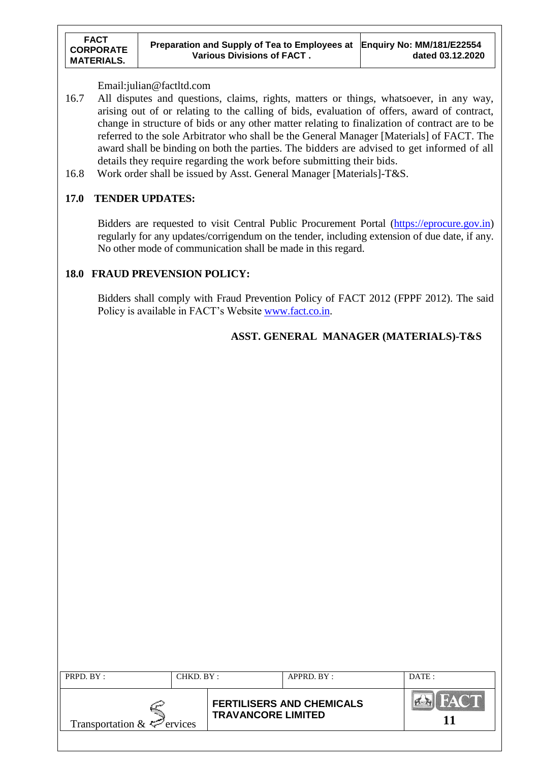#### Email:julian@factltd.com

- 16.7 All disputes and questions, claims, rights, matters or things, whatsoever, in any way, arising out of or relating to the calling of bids, evaluation of offers, award of contract, change in structure of bids or any other matter relating to finalization of contract are to be referred to the sole Arbitrator who shall be the General Manager [Materials] of FACT. The award shall be binding on both the parties. The bidders are advised to get informed of all details they require regarding the work before submitting their bids.
- 16.8 Work order shall be issued by Asst. General Manager [Materials]-T&S.

#### **17.0 TENDER UPDATES:**

Bidders are requested to visit Central Public Procurement Portal [\(https://eprocure.gov.in\)](https://eprocure.gov.in/) regularly for any updates/corrigendum on the tender, including extension of due date, if any. No other mode of communication shall be made in this regard.

#### **18.0 FRAUD PREVENSION POLICY:**

Bidders shall comply with Fraud Prevention Policy of FACT 2012 (FPPF 2012). The said Policy is available in FACT's Website [www.fact.co.in.](http://www.fact.co.in/)

## **ASST. GENERAL MANAGER (MATERIALS)-T&S**

| PRPD. BY:                       | CHKD. BY: |                           | $APPRD$ . $BY$ :                 | DATE: |
|---------------------------------|-----------|---------------------------|----------------------------------|-------|
| Transportation $\&\&\&$ ervices |           | <b>TRAVANCORE LIMITED</b> | <b>FERTILISERS AND CHEMICALS</b> |       |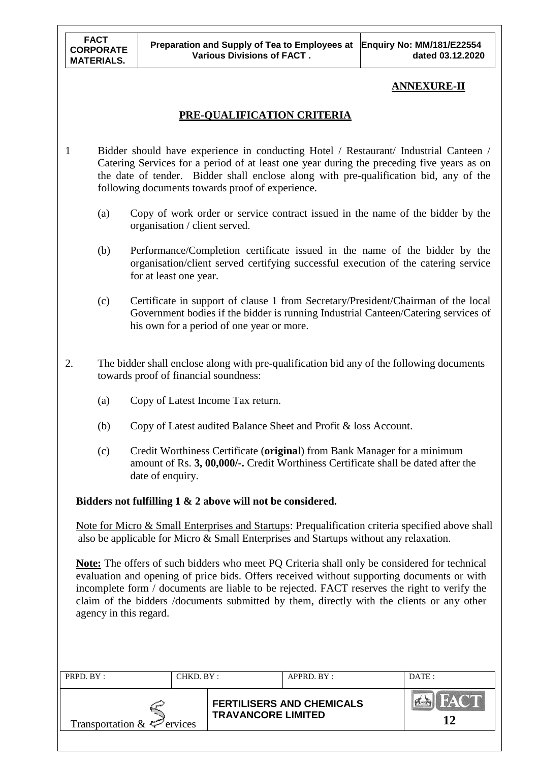## **ANNEXURE-II**

## **PRE-QUALIFICATION CRITERIA**

- 1 Bidder should have experience in conducting Hotel / Restaurant/ Industrial Canteen / Catering Services for a period of at least one year during the preceding five years as on the date of tender. Bidder shall enclose along with pre-qualification bid, any of the following documents towards proof of experience.
	- (a) Copy of work order or service contract issued in the name of the bidder by the organisation / client served.
	- (b) Performance/Completion certificate issued in the name of the bidder by the organisation/client served certifying successful execution of the catering service for at least one year.
	- (c) Certificate in support of clause 1 from Secretary/President/Chairman of the local Government bodies if the bidder is running Industrial Canteen/Catering services of his own for a period of one year or more.
- 2. The bidder shall enclose along with pre-qualification bid any of the following documents towards proof of financial soundness:
	- (a) Copy of Latest Income Tax return.
	- (b) Copy of Latest audited Balance Sheet and Profit & loss Account.
	- (c) Credit Worthiness Certificate (**origina**l) from Bank Manager for a minimum amount of Rs. **3, 00,000/-.** Credit Worthiness Certificate shall be dated after the date of enquiry.

**Bidders not fulfilling 1 & 2 above will not be considered.**

 Note for Micro & Small Enterprises and Startups: Prequalification criteria specified above shall also be applicable for Micro & Small Enterprises and Startups without any relaxation.

**Note:** The offers of such bidders who meet PQ Criteria shall only be considered for technical evaluation and opening of price bids. Offers received without supporting documents or with incomplete form / documents are liable to be rejected. FACT reserves the right to verify the claim of the bidders /documents submitted by them, directly with the clients or any other agency in this regard.

| PRPD. BY:                                   | CHKD. BY: |                           | APPRD. BY:                       | DATE:   |
|---------------------------------------------|-----------|---------------------------|----------------------------------|---------|
| Transportation $\& \Leftrightarrow$ ervices |           | <b>TRAVANCORE LIMITED</b> | <b>FERTILISERS AND CHEMICALS</b> | 'FAC'IL |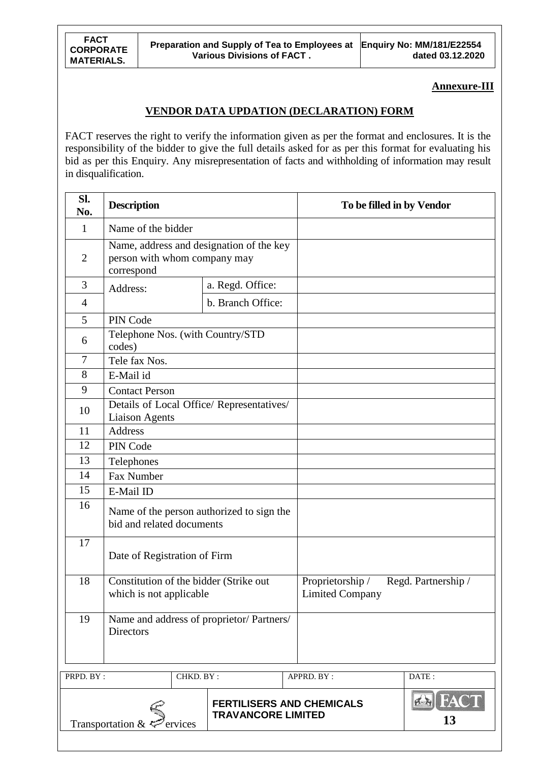**Annexure-III**

### **VENDOR DATA UPDATION (DECLARATION) FORM**

FACT reserves the right to verify the information given as per the format and enclosures. It is the responsibility of the bidder to give the full details asked for as per this format for evaluating his bid as per this Enquiry. Any misrepresentation of facts and withholding of information may result in disqualification.

| Name of the bidder<br>Name, address and designation of the key<br>person with whom company may<br>correspond         |                  |                                                                                                                                                                                                                                                                                                                                                           |  |
|----------------------------------------------------------------------------------------------------------------------|------------------|-----------------------------------------------------------------------------------------------------------------------------------------------------------------------------------------------------------------------------------------------------------------------------------------------------------------------------------------------------------|--|
|                                                                                                                      |                  |                                                                                                                                                                                                                                                                                                                                                           |  |
|                                                                                                                      |                  |                                                                                                                                                                                                                                                                                                                                                           |  |
|                                                                                                                      | a. Regd. Office: |                                                                                                                                                                                                                                                                                                                                                           |  |
|                                                                                                                      |                  |                                                                                                                                                                                                                                                                                                                                                           |  |
| PIN Code                                                                                                             |                  |                                                                                                                                                                                                                                                                                                                                                           |  |
| codes)                                                                                                               |                  |                                                                                                                                                                                                                                                                                                                                                           |  |
| Tele fax Nos.                                                                                                        |                  |                                                                                                                                                                                                                                                                                                                                                           |  |
| E-Mail id                                                                                                            |                  |                                                                                                                                                                                                                                                                                                                                                           |  |
| <b>Contact Person</b>                                                                                                |                  |                                                                                                                                                                                                                                                                                                                                                           |  |
| <b>Liaison Agents</b>                                                                                                |                  |                                                                                                                                                                                                                                                                                                                                                           |  |
| <b>Address</b>                                                                                                       |                  |                                                                                                                                                                                                                                                                                                                                                           |  |
| PIN Code                                                                                                             |                  |                                                                                                                                                                                                                                                                                                                                                           |  |
| Telephones                                                                                                           |                  |                                                                                                                                                                                                                                                                                                                                                           |  |
| Fax Number                                                                                                           |                  |                                                                                                                                                                                                                                                                                                                                                           |  |
| E-Mail ID                                                                                                            |                  |                                                                                                                                                                                                                                                                                                                                                           |  |
|                                                                                                                      |                  |                                                                                                                                                                                                                                                                                                                                                           |  |
|                                                                                                                      |                  |                                                                                                                                                                                                                                                                                                                                                           |  |
|                                                                                                                      |                  | Proprietorship /<br>Regd. Partnership /<br><b>Limited Company</b>                                                                                                                                                                                                                                                                                         |  |
| <b>Directors</b>                                                                                                     |                  |                                                                                                                                                                                                                                                                                                                                                           |  |
| PRPD. BY:                                                                                                            |                  | APPRD. BY:<br>DATE:                                                                                                                                                                                                                                                                                                                                       |  |
| <b>EN FACT</b><br><b>FERTILISERS AND CHEMICALS</b><br><b>TRAVANCORE LIMITED</b><br>13<br>Transportation &<br>ervices |                  |                                                                                                                                                                                                                                                                                                                                                           |  |
|                                                                                                                      | Address:         | b. Branch Office:<br>Telephone Nos. (with Country/STD<br>Details of Local Office/ Representatives/<br>Name of the person authorized to sign the<br>bid and related documents<br>Date of Registration of Firm<br>Constitution of the bidder (Strike out<br>which is not applicable<br>Name and address of proprietor/ Partners/<br>CHKD. $\overline{BY}$ : |  |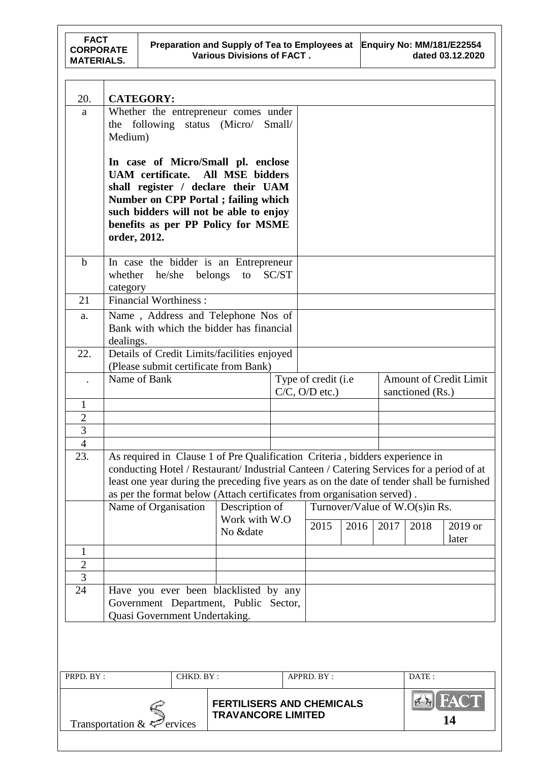| 20.                                                                                                                   | <b>CATEGORY:</b>                                                                                                                                                                                                                                                                                                                                                    |           |                           |       |                                            |      |      |                                |                               |
|-----------------------------------------------------------------------------------------------------------------------|---------------------------------------------------------------------------------------------------------------------------------------------------------------------------------------------------------------------------------------------------------------------------------------------------------------------------------------------------------------------|-----------|---------------------------|-------|--------------------------------------------|------|------|--------------------------------|-------------------------------|
| a                                                                                                                     | Whether the entrepreneur comes under<br>the following status (Micro/ Small/<br>Medium)                                                                                                                                                                                                                                                                              |           |                           |       |                                            |      |      |                                |                               |
|                                                                                                                       | In case of Micro/Small pl. enclose<br>UAM certificate. All MSE bidders<br>shall register / declare their UAM<br>Number on CPP Portal; failing which<br>such bidders will not be able to enjoy<br>benefits as per PP Policy for MSME                                                                                                                                 |           |                           |       |                                            |      |      |                                |                               |
|                                                                                                                       | order, 2012.                                                                                                                                                                                                                                                                                                                                                        |           |                           |       |                                            |      |      |                                |                               |
| $\mathbf b$                                                                                                           | In case the bidder is an Entrepreneur<br>whether he/she belongs to<br>category                                                                                                                                                                                                                                                                                      |           |                           | SC/ST |                                            |      |      |                                |                               |
| 21                                                                                                                    | <b>Financial Worthiness:</b>                                                                                                                                                                                                                                                                                                                                        |           |                           |       |                                            |      |      |                                |                               |
| a.                                                                                                                    | Name, Address and Telephone Nos of<br>Bank with which the bidder has financial<br>dealings.                                                                                                                                                                                                                                                                         |           |                           |       |                                            |      |      |                                |                               |
| 22.                                                                                                                   | Details of Credit Limits/facilities enjoyed<br>(Please submit certificate from Bank)                                                                                                                                                                                                                                                                                |           |                           |       |                                            |      |      |                                |                               |
|                                                                                                                       | Name of Bank                                                                                                                                                                                                                                                                                                                                                        |           |                           |       | Type of credit (i.e<br>$C/C$ , $O/D$ etc.) |      |      | sanctioned (Rs.)               | <b>Amount of Credit Limit</b> |
| $\mathbf{1}$                                                                                                          |                                                                                                                                                                                                                                                                                                                                                                     |           |                           |       |                                            |      |      |                                |                               |
| $\sqrt{2}$                                                                                                            |                                                                                                                                                                                                                                                                                                                                                                     |           |                           |       |                                            |      |      |                                |                               |
| $\overline{3}$                                                                                                        |                                                                                                                                                                                                                                                                                                                                                                     |           |                           |       |                                            |      |      |                                |                               |
| 23.                                                                                                                   | $\overline{4}$<br>As required in Clause 1 of Pre Qualification Criteria, bidders experience in<br>conducting Hotel / Restaurant/ Industrial Canteen / Catering Services for a period of at<br>least one year during the preceding five years as on the date of tender shall be furnished<br>as per the format below (Attach certificates from organisation served). |           |                           |       |                                            |      |      |                                |                               |
|                                                                                                                       | Name of Organisation                                                                                                                                                                                                                                                                                                                                                |           | Description of            |       |                                            |      |      | Turnover/Value of W.O(s)in Rs. |                               |
|                                                                                                                       |                                                                                                                                                                                                                                                                                                                                                                     |           | Work with W.O<br>No &date |       | 2015                                       | 2016 | 2017 | 2018                           | 2019 or<br>later              |
| 1                                                                                                                     |                                                                                                                                                                                                                                                                                                                                                                     |           |                           |       |                                            |      |      |                                |                               |
| $\sqrt{2}$                                                                                                            |                                                                                                                                                                                                                                                                                                                                                                     |           |                           |       |                                            |      |      |                                |                               |
| $\overline{3}$                                                                                                        |                                                                                                                                                                                                                                                                                                                                                                     |           |                           |       |                                            |      |      |                                |                               |
| 24<br>Have you ever been blacklisted by any<br>Government Department, Public Sector,<br>Quasi Government Undertaking. |                                                                                                                                                                                                                                                                                                                                                                     |           |                           |       |                                            |      |      |                                |                               |
|                                                                                                                       |                                                                                                                                                                                                                                                                                                                                                                     |           |                           |       |                                            |      |      |                                |                               |
| PRPD. BY:                                                                                                             |                                                                                                                                                                                                                                                                                                                                                                     | CHKD. BY: |                           |       | APPRD. BY :                                |      |      | DATE:                          |                               |
|                                                                                                                       | <b>FERTILISERS AND CHEMICALS</b><br><b>TRAVANCORE LIMITED</b><br>Transportation & $\leq$ ervices                                                                                                                                                                                                                                                                    |           |                           |       |                                            |      |      |                                | <b>EN FACT</b><br>14          |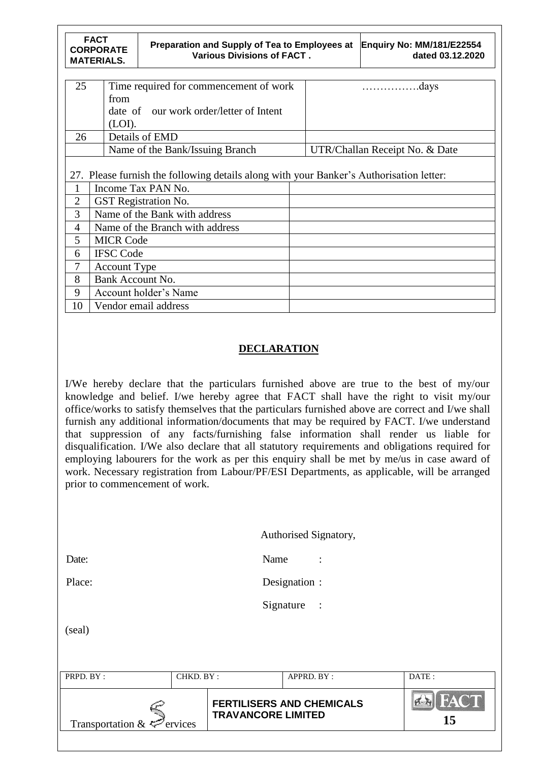|                | <b>FACT</b><br><b>CORPORATE</b><br><b>MATERIALS.</b>                                    | Preparation and Supply of Tea to Employees at<br><b>Various Divisions of FACT.</b> |  | <b>Enquiry No: MM/181/E22554</b><br>dated 03.12.2020 |  |  |  |
|----------------|-----------------------------------------------------------------------------------------|------------------------------------------------------------------------------------|--|------------------------------------------------------|--|--|--|
|                |                                                                                         |                                                                                    |  |                                                      |  |  |  |
| 25             |                                                                                         | Time required for commencement of work                                             |  | .days<br>.                                           |  |  |  |
|                | from                                                                                    |                                                                                    |  |                                                      |  |  |  |
|                |                                                                                         | date of our work order/letter of Intent                                            |  |                                                      |  |  |  |
|                | (LOI).                                                                                  |                                                                                    |  |                                                      |  |  |  |
| 26             |                                                                                         | Details of EMD                                                                     |  |                                                      |  |  |  |
|                |                                                                                         | Name of the Bank/Issuing Branch                                                    |  | UTR/Challan Receipt No. & Date                       |  |  |  |
|                | 27. Please furnish the following details along with your Banker's Authorisation letter: |                                                                                    |  |                                                      |  |  |  |
| 1              |                                                                                         | Income Tax PAN No.                                                                 |  |                                                      |  |  |  |
| $\overline{2}$ |                                                                                         | <b>GST</b> Registration No.                                                        |  |                                                      |  |  |  |
| 3              |                                                                                         | Name of the Bank with address                                                      |  |                                                      |  |  |  |
| 4              |                                                                                         | Name of the Branch with address                                                    |  |                                                      |  |  |  |
| 5              | <b>MICR Code</b>                                                                        |                                                                                    |  |                                                      |  |  |  |
| 6              | <b>IFSC Code</b>                                                                        |                                                                                    |  |                                                      |  |  |  |
| 7              | <b>Account Type</b>                                                                     |                                                                                    |  |                                                      |  |  |  |
| 8              | Bank Account No.                                                                        |                                                                                    |  |                                                      |  |  |  |
| 9              |                                                                                         | Account holder's Name                                                              |  |                                                      |  |  |  |
| 10             |                                                                                         | Vendor email address                                                               |  |                                                      |  |  |  |

## **DECLARATION**

I/We hereby declare that the particulars furnished above are true to the best of my/our knowledge and belief. I/we hereby agree that FACT shall have the right to visit my/our office/works to satisfy themselves that the particulars furnished above are correct and I/we shall furnish any additional information/documents that may be required by FACT. I/we understand that suppression of any facts/furnishing false information shall render us liable for disqualification. I/We also declare that all statutory requirements and obligations required for employing labourers for the work as per this enquiry shall be met by me/us in case award of work. Necessary registration from Labour/PF/ESI Departments, as applicable, will be arranged prior to commencement of work.

|                                                          |           |      | Authorised Signatory,            |                  |
|----------------------------------------------------------|-----------|------|----------------------------------|------------------|
| Date:                                                    |           | Name | $\ddot{\cdot}$                   |                  |
| Place:                                                   |           |      | Designation :                    |                  |
|                                                          |           |      | Signature<br>$\sim$ :            |                  |
| (seal)                                                   |           |      |                                  |                  |
|                                                          |           |      |                                  |                  |
| PRPD. BY:                                                | CHKD. BY: |      | APPRD. BY:                       | DATE:            |
| <b>TRAVANCORE LIMITED</b><br>Transportation &<br>ervices |           |      | <b>FERTILISERS AND CHEMICALS</b> | <b>FAC</b><br>15 |
|                                                          |           |      |                                  |                  |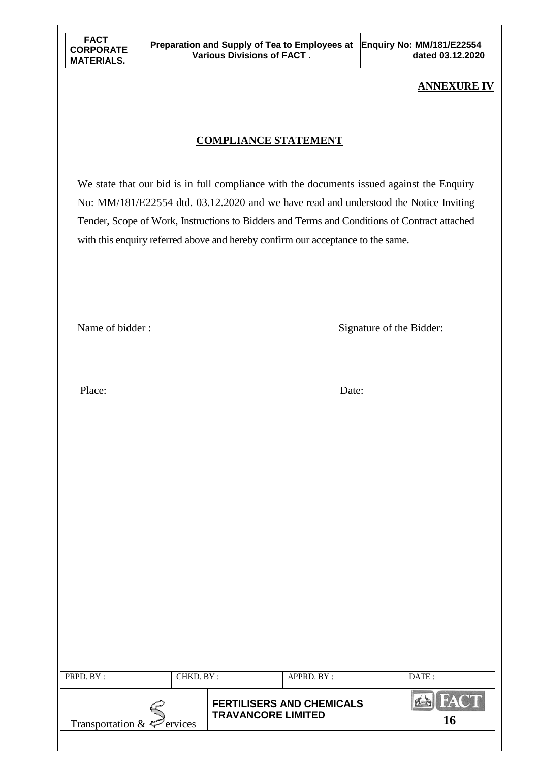## **ANNEXURE IV**

## **COMPLIANCE STATEMENT**

We state that our bid is in full compliance with the documents issued against the Enquiry No: MM/181/E22554 dtd. 03.12.2020 and we have read and understood the Notice Inviting Tender, Scope of Work, Instructions to Bidders and Terms and Conditions of Contract attached with this enquiry referred above and hereby confirm our acceptance to the same.

Name of bidder : Signature of the Bidder:

Place: Date:

| PRPD. BY:                       | CHKD. BY: |                           | $APPRD$ . $BY$ :                 | DATE: |
|---------------------------------|-----------|---------------------------|----------------------------------|-------|
| Transportation $\&\leq$ ervices |           | <b>TRAVANCORE LIMITED</b> | <b>FERTILISERS AND CHEMICALS</b> | FACT  |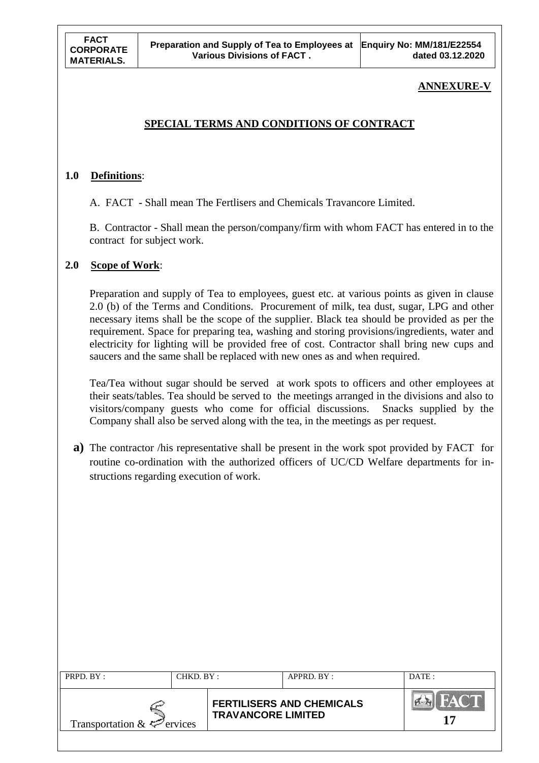## **ANNEXURE-V**

## **SPECIAL TERMS AND CONDITIONS OF CONTRACT**

#### **1.0 Definitions**:

A. FACT - Shall mean The Fertlisers and Chemicals Travancore Limited.

B. Contractor - Shall mean the person/company/firm with whom FACT has entered in to the contract for subject work.

#### **2.0 Scope of Work**:

Preparation and supply of Tea to employees, guest etc. at various points as given in clause 2.0 (b) of the Terms and Conditions. Procurement of milk, tea dust, sugar, LPG and other necessary items shall be the scope of the supplier. Black tea should be provided as per the requirement. Space for preparing tea, washing and storing provisions/ingredients, water and electricity for lighting will be provided free of cost. Contractor shall bring new cups and saucers and the same shall be replaced with new ones as and when required.

Tea/Tea without sugar should be served at work spots to officers and other employees at their seats/tables. Tea should be served to the meetings arranged in the divisions and also to visitors/company guests who come for official discussions. Snacks supplied by the Company shall also be served along with the tea, in the meetings as per request.

**a)** The contractor /his representative shall be present in the work spot provided by FACT for routine co-ordination with the authorized officers of UC/CD Welfare departments for instructions regarding execution of work.

| PRPD. BY:                       | CHKD. BY: |                           | $APPRD$ $BY:$                    | DATE: |
|---------------------------------|-----------|---------------------------|----------------------------------|-------|
| Transportation $\&\leq$ ervices |           | <b>TRAVANCORE LIMITED</b> | <b>FERTILISERS AND CHEMICALS</b> |       |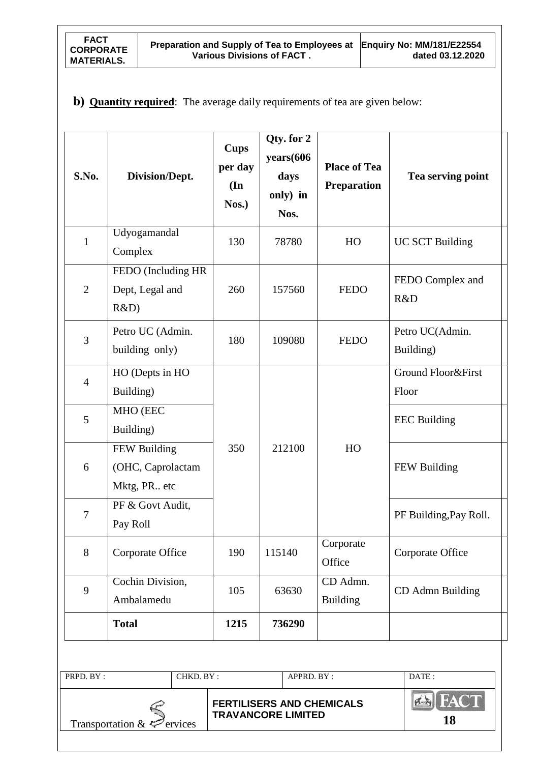## **b) Quantity required**: The average daily requirements of tea are given below:

| S.No.          | Division/Dept.                                     | <b>Cups</b><br>per day<br>$(\mathbf{In})$<br>Nos.) | Qty. for 2<br>years(606<br>days<br>only) in<br>Nos.           | <b>Place of Tea</b><br><b>Preparation</b> | Tea serving point            |
|----------------|----------------------------------------------------|----------------------------------------------------|---------------------------------------------------------------|-------------------------------------------|------------------------------|
| $\mathbf{1}$   | Udyogamandal<br>Complex                            | 130                                                | 78780                                                         | HO                                        | <b>UC SCT Building</b>       |
| $\overline{2}$ | FEDO (Including HR<br>Dept, Legal and<br>R&D)      | 260                                                | 157560                                                        | <b>FEDO</b>                               | FEDO Complex and<br>R&D      |
| 3              | Petro UC (Admin.<br>building only)                 | 180                                                | 109080                                                        | <b>FEDO</b>                               | Petro UC(Admin.<br>Building) |
| $\overline{4}$ | HO (Depts in HO<br>Building)                       |                                                    |                                                               |                                           | Ground Floor&First<br>Floor  |
| 5              | MHO (EEC<br>Building)                              |                                                    |                                                               | HO                                        | <b>EEC</b> Building          |
| 6              | FEW Building<br>(OHC, Caprolactam<br>Mktg, PR. etc | 350                                                | 212100                                                        |                                           | FEW Building                 |
| $\tau$         | PF & Govt Audit,<br>Pay Roll                       |                                                    |                                                               |                                           | PF Building, Pay Roll.       |
| 8              | Corporate Office                                   | 190                                                | 115140                                                        | Corporate<br>Office                       | Corporate Office             |
| 9              | Cochin Division,<br>105<br>Ambalamedu              |                                                    | 63630                                                         | CD Admn.<br><b>Building</b>               | CD Admn Building             |
| <b>Total</b>   |                                                    | 1215                                               | 736290                                                        |                                           |                              |
| PRPD. BY:      | CHKD. BY:                                          |                                                    | APPRD. BY :                                                   |                                           | DATE:                        |
|                | Transportation & $\leq$ ervices                    |                                                    | <b>FERTILISERS AND CHEMICALS</b><br><b>TRAVANCORE LIMITED</b> |                                           | <b>EX FACT</b><br>18         |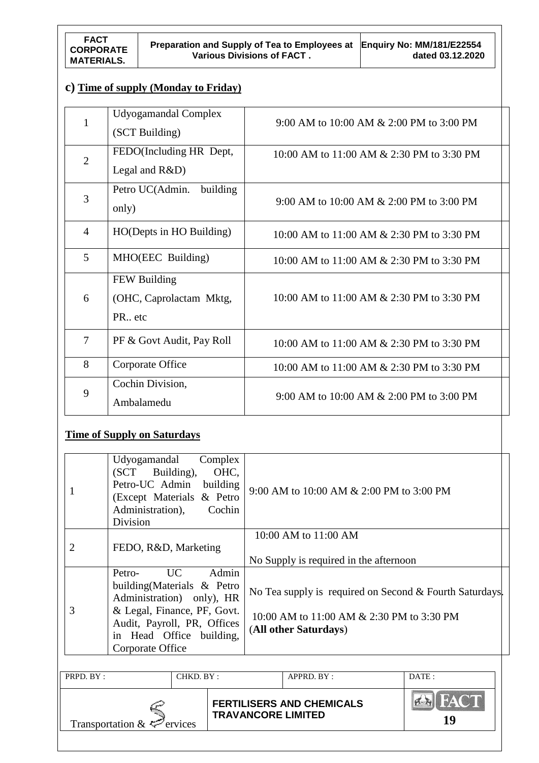# **c) Time of supply (Monday to Friday)**

| 1              | Udyogamandal Complex<br>(SCT Building)                         | 9:00 AM to 10:00 AM & 2:00 PM to 3:00 PM  |
|----------------|----------------------------------------------------------------|-------------------------------------------|
| $\overline{2}$ | FEDO(Including HR Dept,<br>Legal and $R&D$ )                   | 10:00 AM to 11:00 AM & 2:30 PM to 3:30 PM |
| 3              | Petro UC(Admin.<br>building<br>only)                           | 9:00 AM to 10:00 AM & 2:00 PM to 3:00 PM  |
| $\overline{4}$ | HO(Depts in HO Building)                                       | 10:00 AM to 11:00 AM & 2:30 PM to 3:30 PM |
| 5              | MHO(EEC Building)                                              | 10:00 AM to 11:00 AM & 2:30 PM to 3:30 PM |
| 6              | FEW Building<br>(OHC, Caprolactam Mktg,<br>PR <sub>u</sub> etc | 10:00 AM to 11:00 AM & 2:30 PM to 3:30 PM |
| $\tau$         | PF & Govt Audit, Pay Roll                                      | 10:00 AM to 11:00 AM & 2:30 PM to 3:30 PM |
| 8              | Corporate Office                                               | 10:00 AM to 11:00 AM & 2:30 PM to 3:30 PM |
| 9              | Cochin Division,<br>Ambalamedu                                 | 9:00 AM to 10:00 AM & 2:00 PM to 3:00 PM  |

# **Time of Supply on Saturdays**

|   | Udyogamandal<br>Complex<br>Building),<br>OHC,<br>(SCT)<br>Petro-UC Admin building<br>(Except Materials & Petro<br>Cochin<br>Administration),<br>Division                                          | 9:00 AM to 10:00 AM & 2:00 PM to 3:00 PM                                                                                      |
|---|---------------------------------------------------------------------------------------------------------------------------------------------------------------------------------------------------|-------------------------------------------------------------------------------------------------------------------------------|
| 2 | FEDO, R&D, Marketing                                                                                                                                                                              | 10:00 AM to 11:00 AM<br>No Supply is required in the afternoon                                                                |
| 3 | UC  <br>Admin<br>Petro-<br>building (Materials & Petro<br>Administration) only), HR<br>& Legal, Finance, PF, Govt.<br>Audit, Payroll, PR, Offices<br>in Head Office building,<br>Corporate Office | No Tea supply is required on Second & Fourth Saturdays.<br>10:00 AM to 11:00 AM & 2:30 PM to 3:30 PM<br>(All other Saturdays) |

| PRPD. BY:                       | CHKD. BY: |                           | APPRD. BY:                       | DATA:        |
|---------------------------------|-----------|---------------------------|----------------------------------|--------------|
| Transportation $\&\leq$ ervices |           | <b>TRAVANCORE LIMITED</b> | <b>FERTILISERS AND CHEMICALS</b> | THA(CL<br>19 |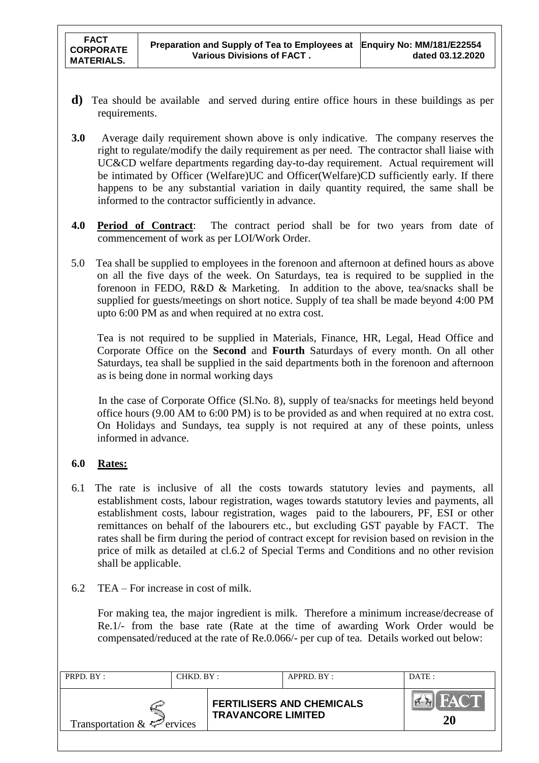- **d)** Tea should be available and served during entire office hours in these buildings as per requirements.
- **3.0** Average daily requirement shown above is only indicative. The company reserves the right to regulate/modify the daily requirement as per need. The contractor shall liaise with UC&CD welfare departments regarding day-to-day requirement. Actual requirement will be intimated by Officer (Welfare)UC and Officer(Welfare)CD sufficiently early. If there happens to be any substantial variation in daily quantity required, the same shall be informed to the contractor sufficiently in advance.
- **4.0 Period of Contract**: The contract period shall be for two years from date of commencement of work as per LOI/Work Order.
- 5.0 Tea shall be supplied to employees in the forenoon and afternoon at defined hours as above on all the five days of the week. On Saturdays, tea is required to be supplied in the forenoon in FEDO, R&D & Marketing. In addition to the above, tea/snacks shall be supplied for guests/meetings on short notice. Supply of tea shall be made beyond 4:00 PM upto 6:00 PM as and when required at no extra cost.

Tea is not required to be supplied in Materials, Finance, HR, Legal, Head Office and Corporate Office on the **Second** and **Fourth** Saturdays of every month. On all other Saturdays, tea shall be supplied in the said departments both in the forenoon and afternoon as is being done in normal working days

 In the case of Corporate Office (Sl.No. 8), supply of tea/snacks for meetings held beyond office hours (9.00 AM to 6:00 PM) is to be provided as and when required at no extra cost. On Holidays and Sundays, tea supply is not required at any of these points, unless informed in advance.

### **6.0 Rates:**

- 6.1 The rate is inclusive of all the costs towards statutory levies and payments, all establishment costs, labour registration, wages towards statutory levies and payments, all establishment costs, labour registration, wages paid to the labourers, PF, ESI or other remittances on behalf of the labourers etc., but excluding GST payable by FACT. The rates shall be firm during the period of contract except for revision based on revision in the price of milk as detailed at cl.6.2 of Special Terms and Conditions and no other revision shall be applicable.
- 6.2 TEA For increase in cost of milk.

For making tea, the major ingredient is milk. Therefore a minimum increase/decrease of Re.1/- from the base rate (Rate at the time of awarding Work Order would be compensated/reduced at the rate of Re.0.066/- per cup of tea. Details worked out below:

| PRPD. BY:<br>CHKD. BY:          |  |                                                               | APPRD. BY: | DATE: |
|---------------------------------|--|---------------------------------------------------------------|------------|-------|
| Transportation $\&\&\&$ ervices |  | <b>FERTILISERS AND CHEMICALS</b><br><b>TRAVANCORE LIMITED</b> |            | 20    |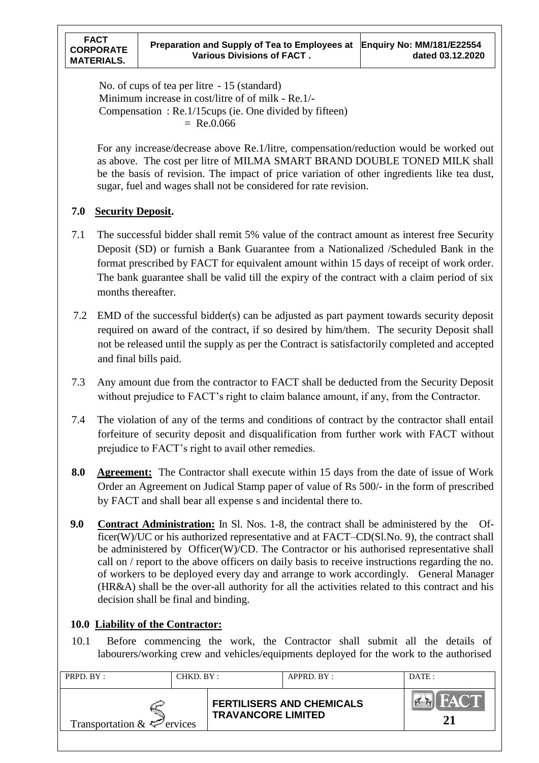No. of cups of tea per litre - 15 (standard) Minimum increase in cost/litre of of milk - Re.1/- Compensation : Re.1/15cups (ie. One divided by fifteen)  $=$  Re.0.066

For any increase/decrease above Re.1/litre, compensation/reduction would be worked out as above. The cost per litre of MILMA SMART BRAND DOUBLE TONED MILK shall be the basis of revision. The impact of price variation of other ingredients like tea dust, sugar, fuel and wages shall not be considered for rate revision.

### **7.0 Security Deposit.**

- 7.1 The successful bidder shall remit 5% value of the contract amount as interest free Security Deposit (SD) or furnish a Bank Guarantee from a Nationalized /Scheduled Bank in the format prescribed by FACT for equivalent amount within 15 days of receipt of work order. The bank guarantee shall be valid till the expiry of the contract with a claim period of six months thereafter.
- 7.2 EMD of the successful bidder(s) can be adjusted as part payment towards security deposit required on award of the contract, if so desired by him/them. The security Deposit shall not be released until the supply as per the Contract is satisfactorily completed and accepted and final bills paid.
- 7.3 Any amount due from the contractor to FACT shall be deducted from the Security Deposit without prejudice to FACT's right to claim balance amount, if any, from the Contractor.
- 7.4 The violation of any of the terms and conditions of contract by the contractor shall entail forfeiture of security deposit and disqualification from further work with FACT without prejudice to FACT"s right to avail other remedies.
- **8.0 Agreement:** The Contractor shall execute within 15 days from the date of issue of Work Order an Agreement on Judical Stamp paper of value of Rs 500/- in the form of prescribed by FACT and shall bear all expense s and incidental there to.
- **9.0 Contract Administration:** In Sl. Nos. 1-8, the contract shall be administered by the Officer(W)/UC or his authorized representative and at FACT–CD(Sl.No. 9), the contract shall be administered by Officer(W)/CD. The Contractor or his authorised representative shall call on / report to the above officers on daily basis to receive instructions regarding the no. of workers to be deployed every day and arrange to work accordingly. General Manager (HR&A) shall be the over-all authority for all the activities related to this contract and his decision shall be final and binding.

## **10.0 Liability of the Contractor:**

10.1 Before commencing the work, the Contractor shall submit all the details of labourers/working crew and vehicles/equipments deployed for the work to the authorised

| PRPD. BY:<br>CHKD. BY:          |  |                           | $APPRD$ $BY:$                    | DATA: |
|---------------------------------|--|---------------------------|----------------------------------|-------|
| Transportation $\&\leq$ ervices |  | <b>TRAVANCORE LIMITED</b> | <b>FERTILISERS AND CHEMICALS</b> |       |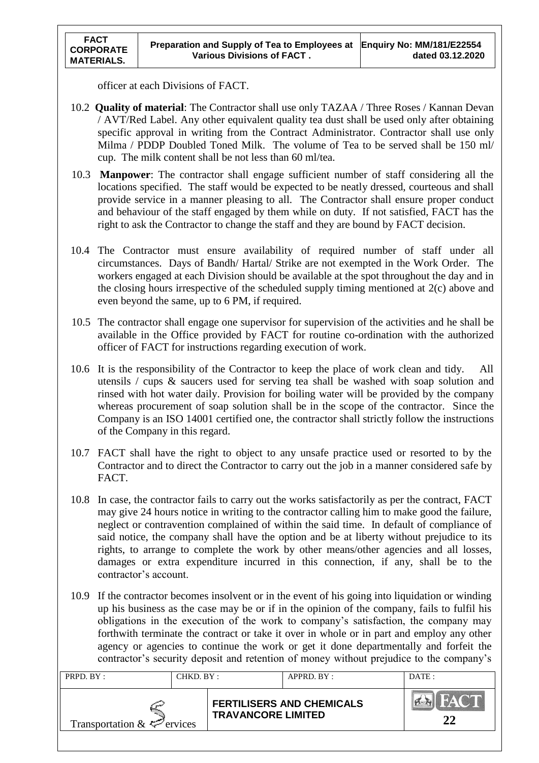officer at each Divisions of FACT.

- 10.2 **Quality of material**: The Contractor shall use only TAZAA / Three Roses / Kannan Devan / AVT/Red Label. Any other equivalent quality tea dust shall be used only after obtaining specific approval in writing from the Contract Administrator. Contractor shall use only Milma / PDDP Doubled Toned Milk. The volume of Tea to be served shall be 150 ml/ cup. The milk content shall be not less than 60 ml/tea.
- 10.3 **Manpower**: The contractor shall engage sufficient number of staff considering all the locations specified. The staff would be expected to be neatly dressed, courteous and shall provide service in a manner pleasing to all. The Contractor shall ensure proper conduct and behaviour of the staff engaged by them while on duty. If not satisfied, FACT has the right to ask the Contractor to change the staff and they are bound by FACT decision.
- 10.4 The Contractor must ensure availability of required number of staff under all circumstances. Days of Bandh/ Hartal/ Strike are not exempted in the Work Order. The workers engaged at each Division should be available at the spot throughout the day and in the closing hours irrespective of the scheduled supply timing mentioned at 2(c) above and even beyond the same, up to 6 PM, if required.
- 10.5 The contractor shall engage one supervisor for supervision of the activities and he shall be available in the Office provided by FACT for routine co-ordination with the authorized officer of FACT for instructions regarding execution of work.
- 10.6 It is the responsibility of the Contractor to keep the place of work clean and tidy. All utensils / cups & saucers used for serving tea shall be washed with soap solution and rinsed with hot water daily. Provision for boiling water will be provided by the company whereas procurement of soap solution shall be in the scope of the contractor. Since the Company is an ISO 14001 certified one, the contractor shall strictly follow the instructions of the Company in this regard.
- 10.7 FACT shall have the right to object to any unsafe practice used or resorted to by the Contractor and to direct the Contractor to carry out the job in a manner considered safe by FACT.
- 10.8 In case, the contractor fails to carry out the works satisfactorily as per the contract, FACT may give 24 hours notice in writing to the contractor calling him to make good the failure, neglect or contravention complained of within the said time. In default of compliance of said notice, the company shall have the option and be at liberty without prejudice to its rights, to arrange to complete the work by other means/other agencies and all losses, damages or extra expenditure incurred in this connection, if any, shall be to the contractor"s account.
- 10.9 If the contractor becomes insolvent or in the event of his going into liquidation or winding up his business as the case may be or if in the opinion of the company, fails to fulfil his obligations in the execution of the work to company"s satisfaction, the company may forthwith terminate the contract or take it over in whole or in part and employ any other agency or agencies to continue the work or get it done departmentally and forfeit the contractor's security deposit and retention of money without prejudice to the company's

| PRPD. BY:<br>CHKD. BY:                 |  | APPRD. BY:                |                                  | DATA: |
|----------------------------------------|--|---------------------------|----------------------------------|-------|
| Transportation $\&\leq^{\sim}$ ervices |  | <b>TRAVANCORE LIMITED</b> | <b>FERTILISERS AND CHEMICALS</b> | FACT. |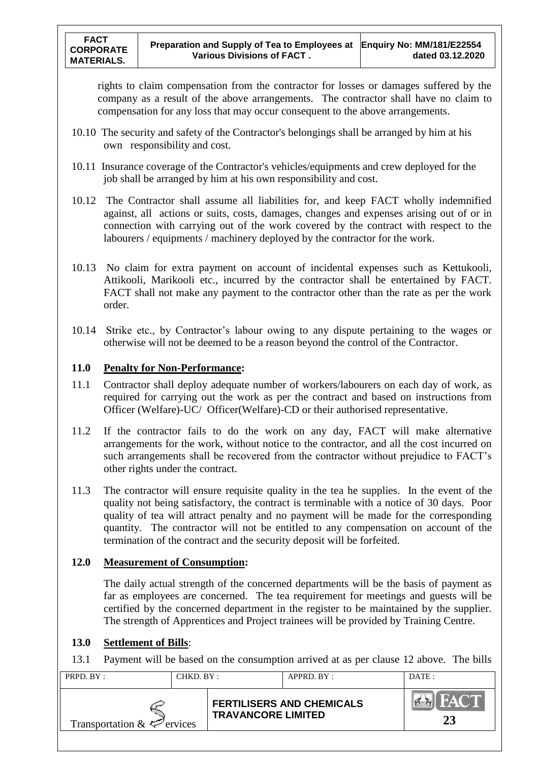rights to claim compensation from the contractor for losses or damages suffered by the company as a result of the above arrangements. The contractor shall have no claim to compensation for any loss that may occur consequent to the above arrangements.

- 10.10 The security and safety of the Contractor's belongings shall be arranged by him at his own responsibility and cost.
- 10.11 Insurance coverage of the Contractor's vehicles/equipments and crew deployed for the job shall be arranged by him at his own responsibility and cost.
- 10.12 The Contractor shall assume all liabilities for, and keep FACT wholly indemnified against, all actions or suits, costs, damages, changes and expenses arising out of or in connection with carrying out of the work covered by the contract with respect to the labourers / equipments / machinery deployed by the contractor for the work.
- 10.13 No claim for extra payment on account of incidental expenses such as Kettukooli, Attikooli, Marikooli etc., incurred by the contractor shall be entertained by FACT. FACT shall not make any payment to the contractor other than the rate as per the work order.
- 10.14 Strike etc., by Contractor"s labour owing to any dispute pertaining to the wages or otherwise will not be deemed to be a reason beyond the control of the Contractor.

### **11.0 Penalty for Non-Performance:**

- 11.1 Contractor shall deploy adequate number of workers/labourers on each day of work, as required for carrying out the work as per the contract and based on instructions from Officer (Welfare)-UC/ Officer(Welfare)-CD or their authorised representative.
- 11.2 If the contractor fails to do the work on any day, FACT will make alternative arrangements for the work, without notice to the contractor, and all the cost incurred on such arrangements shall be recovered from the contractor without prejudice to FACT"s other rights under the contract.
- 11.3 The contractor will ensure requisite quality in the tea he supplies. In the event of the quality not being satisfactory, the contract is terminable with a notice of 30 days. Poor quality of tea will attract penalty and no payment will be made for the corresponding quantity. The contractor will not be entitled to any compensation on account of the termination of the contract and the security deposit will be forfeited.

### **12.0 Measurement of Consumption:**

The daily actual strength of the concerned departments will be the basis of payment as far as employees are concerned. The tea requirement for meetings and guests will be certified by the concerned department in the register to be maintained by the supplier. The strength of Apprentices and Project trainees will be provided by Training Centre.

#### **13.0 Settlement of Bills**:

13.1 Payment will be based on the consumption arrived at as per clause 12 above. The bills

| PRPD. BY:<br>CHKD. BY:                 |  |                           | APPRD. BY:                       | DATE: |
|----------------------------------------|--|---------------------------|----------------------------------|-------|
| Transportation $\&\leq^{\sim}$ ervices |  | <b>TRAVANCORE LIMITED</b> | <b>FERTILISERS AND CHEMICALS</b> |       |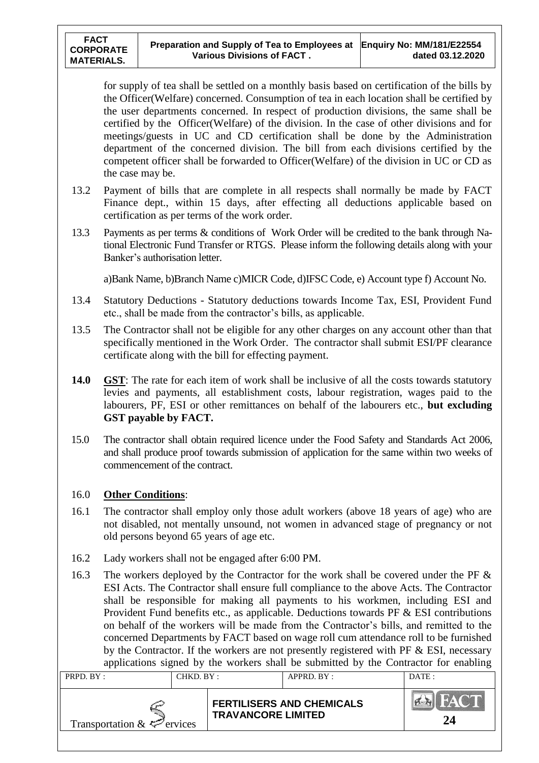for supply of tea shall be settled on a monthly basis based on certification of the bills by the Officer(Welfare) concerned. Consumption of tea in each location shall be certified by the user departments concerned. In respect of production divisions, the same shall be certified by the Officer(Welfare) of the division. In the case of other divisions and for meetings/guests in UC and CD certification shall be done by the Administration department of the concerned division. The bill from each divisions certified by the competent officer shall be forwarded to Officer(Welfare) of the division in UC or CD as the case may be.

- 13.2 Payment of bills that are complete in all respects shall normally be made by FACT Finance dept., within 15 days, after effecting all deductions applicable based on certification as per terms of the work order.
- 13.3 Payments as per terms & conditions of Work Order will be credited to the bank through National Electronic Fund Transfer or RTGS. Please inform the following details along with your Banker"s authorisation letter.

a)Bank Name, b)Branch Name c)MICR Code, d)IFSC Code, e) Account type f) Account No.

- 13.4 Statutory Deductions Statutory deductions towards Income Tax, ESI, Provident Fund etc., shall be made from the contractor's bills, as applicable.
- 13.5 The Contractor shall not be eligible for any other charges on any account other than that specifically mentioned in the Work Order. The contractor shall submit ESI/PF clearance certificate along with the bill for effecting payment.
- **14.0 GST**: The rate for each item of work shall be inclusive of all the costs towards statutory levies and payments, all establishment costs, labour registration, wages paid to the labourers, PF, ESI or other remittances on behalf of the labourers etc., **but excluding GST payable by FACT.**
- 15.0 The contractor shall obtain required licence under the Food Safety and Standards Act 2006, and shall produce proof towards submission of application for the same within two weeks of commencement of the contract.

#### 16.0 **Other Conditions**:

- 16.1 The contractor shall employ only those adult workers (above 18 years of age) who are not disabled, not mentally unsound, not women in advanced stage of pregnancy or not old persons beyond 65 years of age etc.
- 16.2 Lady workers shall not be engaged after 6:00 PM.
- 16.3 The workers deployed by the Contractor for the work shall be covered under the PF & ESI Acts. The Contractor shall ensure full compliance to the above Acts. The Contractor shall be responsible for making all payments to his workmen, including ESI and Provident Fund benefits etc., as applicable. Deductions towards PF & ESI contributions on behalf of the workers will be made from the Contractor"s bills, and remitted to the concerned Departments by FACT based on wage roll cum attendance roll to be furnished by the Contractor. If the workers are not presently registered with PF  $&ESI$ , necessary applications signed by the workers shall be submitted by the Contractor for enabling

| CHKD. BY:<br>PRPD. BY:          |  |                           | APPRD. BY:                       | DATE: |
|---------------------------------|--|---------------------------|----------------------------------|-------|
| Transportation $\&\&\&$ ervices |  | <b>TRAVANCORE LIMITED</b> | <b>FERTILISERS AND CHEMICALS</b> | 24    |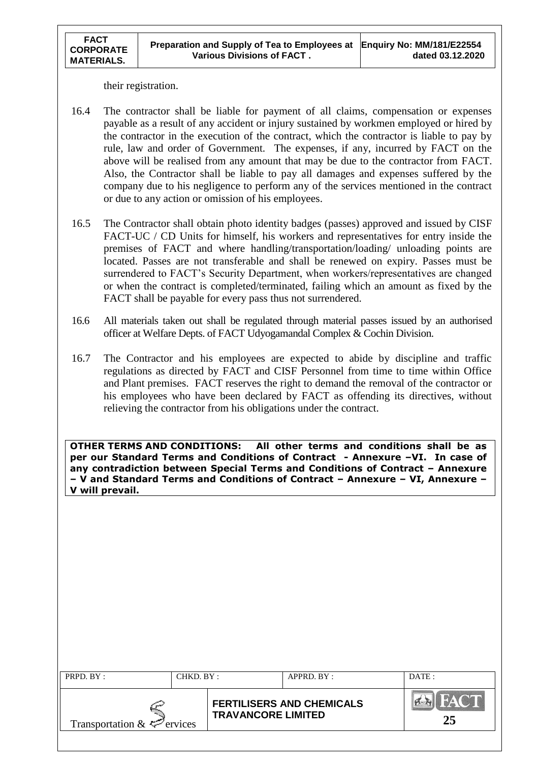their registration.

 **FACT CORPORATE MATERIALS.** 

- 16.4 The contractor shall be liable for payment of all claims, compensation or expenses payable as a result of any accident or injury sustained by workmen employed or hired by the contractor in the execution of the contract, which the contractor is liable to pay by rule, law and order of Government. The expenses, if any, incurred by FACT on the above will be realised from any amount that may be due to the contractor from FACT. Also, the Contractor shall be liable to pay all damages and expenses suffered by the company due to his negligence to perform any of the services mentioned in the contract or due to any action or omission of his employees.
- 16.5 The Contractor shall obtain photo identity badges (passes) approved and issued by CISF FACT-UC / CD Units for himself, his workers and representatives for entry inside the premises of FACT and where handling/transportation/loading/ unloading points are located. Passes are not transferable and shall be renewed on expiry. Passes must be surrendered to FACT's Security Department, when workers/representatives are changed or when the contract is completed/terminated, failing which an amount as fixed by the FACT shall be payable for every pass thus not surrendered.
- 16.6 All materials taken out shall be regulated through material passes issued by an authorised officer at Welfare Depts. of FACT Udyogamandal Complex & Cochin Division.
- 16.7 The Contractor and his employees are expected to abide by discipline and traffic regulations as directed by FACT and CISF Personnel from time to time within Office and Plant premises. FACT reserves the right to demand the removal of the contractor or his employees who have been declared by FACT as offending its directives, without relieving the contractor from his obligations under the contract.

**OTHER TERMS AND CONDITIONS: All other terms and conditions shall be as per our Standard Terms and Conditions of Contract - Annexure –VI. In case of any contradiction between Special Terms and Conditions of Contract – Annexure – V and Standard Terms and Conditions of Contract – Annexure – VI, Annexure – V will prevail.**

| PRPD. BY:                       | CHKD. BY: |                           | APPRD. BY:                       | DATE:             |
|---------------------------------|-----------|---------------------------|----------------------------------|-------------------|
| Transportation $\&\&\&$ ervices |           | <b>TRAVANCORE LIMITED</b> | <b>FERTILISERS AND CHEMICALS</b> | <b>FACT</b><br>25 |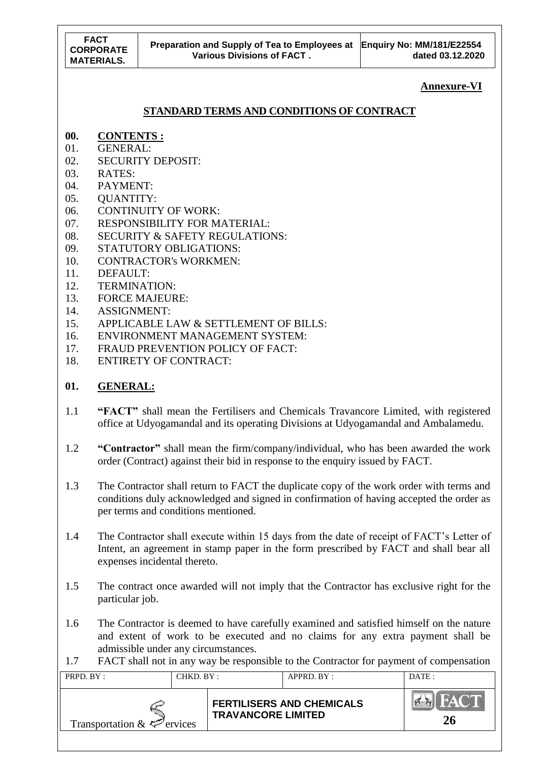**Annexure-VI**

# **STANDARD TERMS AND CONDITIONS OF CONTRACT**

- **00. CONTENTS :**
- 01. GENERAL:
- 02. SECURITY DEPOSIT:
- 03. RATES:
- 04. PAYMENT:
- 05. QUANTITY:
- 06. CONTINUITY OF WORK:
- 07. RESPONSIBILITY FOR MATERIAL:
- 08. SECURITY & SAFETY REGULATIONS:
- 09. STATUTORY OBLIGATIONS:
- 10. CONTRACTOR's WORKMEN:
- 11. DEFAULT:
- 12. TERMINATION:
- 13. FORCE MAJEURE:
- 14. ASSIGNMENT:
- 15. APPLICABLE LAW & SETTLEMENT OF BILLS:
- 16. ENVIRONMENT MANAGEMENT SYSTEM:
- 17. FRAUD PREVENTION POLICY OF FACT:
- 18. ENTIRETY OF CONTRACT:

# **01. GENERAL:**

- 1.1 **"FACT"** shall mean the Fertilisers and Chemicals Travancore Limited, with registered office at Udyogamandal and its operating Divisions at Udyogamandal and Ambalamedu.
- 1.2 **"Contractor"** shall mean the firm/company/individual, who has been awarded the work order (Contract) against their bid in response to the enquiry issued by FACT.
- 1.3 The Contractor shall return to FACT the duplicate copy of the work order with terms and conditions duly acknowledged and signed in confirmation of having accepted the order as per terms and conditions mentioned.
- 1.4 The Contractor shall execute within 15 days from the date of receipt of FACT"s Letter of Intent, an agreement in stamp paper in the form prescribed by FACT and shall bear all expenses incidental thereto.
- 1.5 The contract once awarded will not imply that the Contractor has exclusive right for the particular job.
- 1.6 The Contractor is deemed to have carefully examined and satisfied himself on the nature and extent of work to be executed and no claims for any extra payment shall be admissible under any circumstances.
- 1.7 FACT shall not in any way be responsible to the Contractor for payment of compensation

| PRPD. BY:<br>CHKD. BY:          |  |                           | APPRD. BY:                       | DATE: |
|---------------------------------|--|---------------------------|----------------------------------|-------|
| Transportation $\&\leq$ ervices |  | <b>TRAVANCORE LIMITED</b> | <b>FERTILISERS AND CHEMICALS</b> | 26    |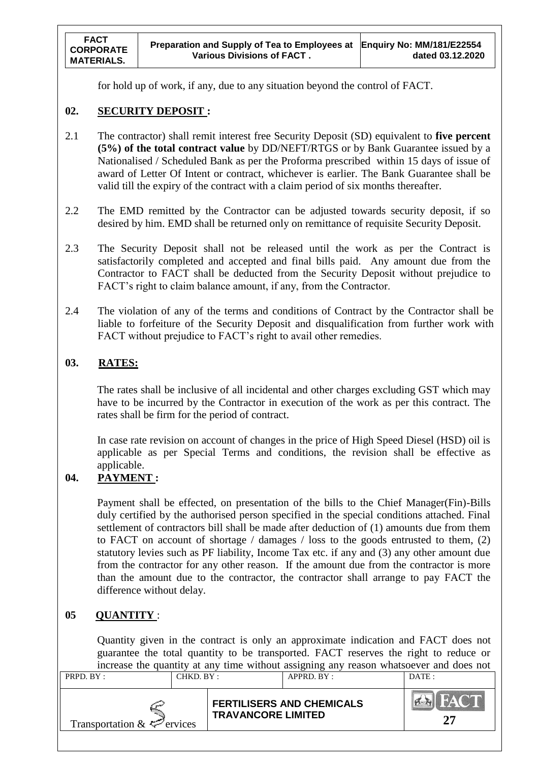for hold up of work, if any, due to any situation beyond the control of FACT.

### **02. SECURITY DEPOSIT :**

- 2.1 The contractor) shall remit interest free Security Deposit (SD) equivalent to **five percent (5%) of the total contract value** by DD/NEFT/RTGS or by Bank Guarantee issued by a Nationalised / Scheduled Bank as per the Proforma prescribed within 15 days of issue of award of Letter Of Intent or contract, whichever is earlier. The Bank Guarantee shall be valid till the expiry of the contract with a claim period of six months thereafter.
- 2.2 The EMD remitted by the Contractor can be adjusted towards security deposit, if so desired by him. EMD shall be returned only on remittance of requisite Security Deposit.
- 2.3 The Security Deposit shall not be released until the work as per the Contract is satisfactorily completed and accepted and final bills paid. Any amount due from the Contractor to FACT shall be deducted from the Security Deposit without prejudice to FACT's right to claim balance amount, if any, from the Contractor.
- 2.4 The violation of any of the terms and conditions of Contract by the Contractor shall be liable to forfeiture of the Security Deposit and disqualification from further work with FACT without prejudice to FACT's right to avail other remedies.

## **03. RATES:**

The rates shall be inclusive of all incidental and other charges excluding GST which may have to be incurred by the Contractor in execution of the work as per this contract. The rates shall be firm for the period of contract.

In case rate revision on account of changes in the price of High Speed Diesel (HSD) oil is applicable as per Special Terms and conditions, the revision shall be effective as applicable.

## **04. PAYMENT :**

Payment shall be effected, on presentation of the bills to the Chief Manager(Fin)-Bills duly certified by the authorised person specified in the special conditions attached. Final settlement of contractors bill shall be made after deduction of (1) amounts due from them to FACT on account of shortage / damages / loss to the goods entrusted to them, (2) statutory levies such as PF liability, Income Tax etc. if any and (3) any other amount due from the contractor for any other reason. If the amount due from the contractor is more than the amount due to the contractor, the contractor shall arrange to pay FACT the difference without delay.

### **05 QUANTITY** :

Quantity given in the contract is only an approximate indication and FACT does not guarantee the total quantity to be transported. FACT reserves the right to reduce or increase the quantity at any time without assigning any reason whatsoever and does not

| CHKD. BY :<br>PRPD. BY:         |  |                           | APPRD. BY:                       | DATE: |
|---------------------------------|--|---------------------------|----------------------------------|-------|
| Transportation $\&\leq$ ervices |  | <b>TRAVANCORE LIMITED</b> | <b>FERTILISERS AND CHEMICALS</b> |       |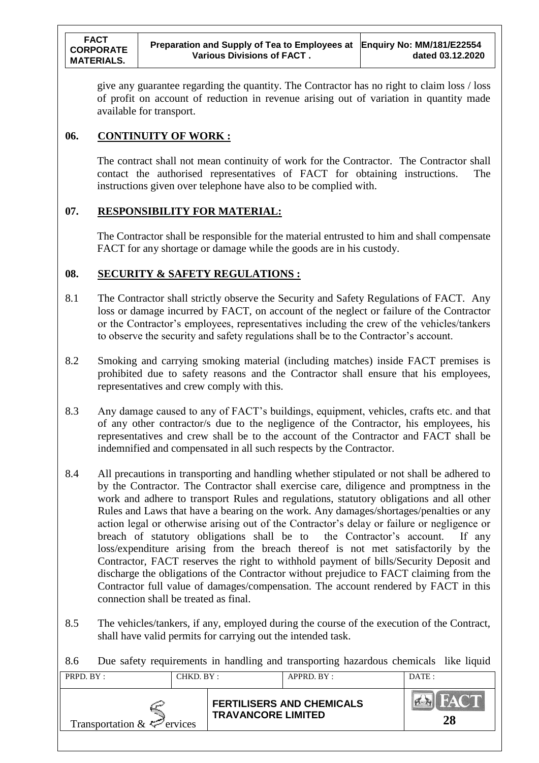give any guarantee regarding the quantity. The Contractor has no right to claim loss / loss of profit on account of reduction in revenue arising out of variation in quantity made available for transport.

## **06. CONTINUITY OF WORK :**

The contract shall not mean continuity of work for the Contractor. The Contractor shall contact the authorised representatives of FACT for obtaining instructions. The instructions given over telephone have also to be complied with.

### **07. RESPONSIBILITY FOR MATERIAL:**

The Contractor shall be responsible for the material entrusted to him and shall compensate FACT for any shortage or damage while the goods are in his custody.

## **08. SECURITY & SAFETY REGULATIONS :**

- 8.1 The Contractor shall strictly observe the Security and Safety Regulations of FACT. Any loss or damage incurred by FACT, on account of the neglect or failure of the Contractor or the Contractor"s employees, representatives including the crew of the vehicles/tankers to observe the security and safety regulations shall be to the Contractor"s account.
- 8.2 Smoking and carrying smoking material (including matches) inside FACT premises is prohibited due to safety reasons and the Contractor shall ensure that his employees, representatives and crew comply with this.
- 8.3 Any damage caused to any of FACT"s buildings, equipment, vehicles, crafts etc. and that of any other contractor/s due to the negligence of the Contractor, his employees, his representatives and crew shall be to the account of the Contractor and FACT shall be indemnified and compensated in all such respects by the Contractor.
- 8.4 All precautions in transporting and handling whether stipulated or not shall be adhered to by the Contractor. The Contractor shall exercise care, diligence and promptness in the work and adhere to transport Rules and regulations, statutory obligations and all other Rules and Laws that have a bearing on the work. Any damages/shortages/penalties or any action legal or otherwise arising out of the Contractor's delay or failure or negligence or breach of statutory obligations shall be to the Contractor's account. If any loss/expenditure arising from the breach thereof is not met satisfactorily by the Contractor, FACT reserves the right to withhold payment of bills/Security Deposit and discharge the obligations of the Contractor without prejudice to FACT claiming from the Contractor full value of damages/compensation. The account rendered by FACT in this connection shall be treated as final.
- 8.5 The vehicles/tankers, if any, employed during the course of the execution of the Contract, shall have valid permits for carrying out the intended task.

8.6 Due safety requirements in handling and transporting hazardous chemicals like liquid

| PRPD. BY:<br>CHKD. BY:          |  |                           | APPRD. BY:                       | DATE: |
|---------------------------------|--|---------------------------|----------------------------------|-------|
| Transportation $\&\&\&$ ervices |  | <b>TRAVANCORE LIMITED</b> | <b>FERTILISERS AND CHEMICALS</b> | 28    |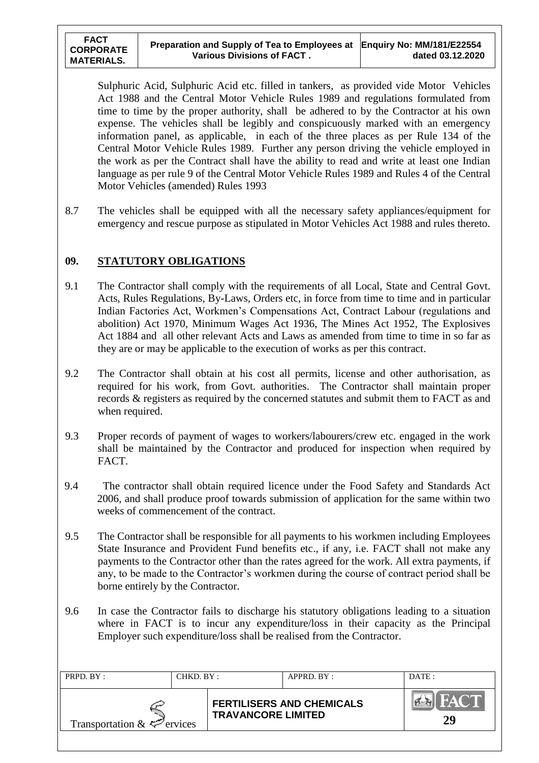Sulphuric Acid, Sulphuric Acid etc. filled in tankers, as provided vide Motor Vehicles Act 1988 and the Central Motor Vehicle Rules 1989 and regulations formulated from time to time by the proper authority, shall be adhered to by the Contractor at his own expense. The vehicles shall be legibly and conspicuously marked with an emergency information panel, as applicable, in each of the three places as per Rule 134 of the Central Motor Vehicle Rules 1989. Further any person driving the vehicle employed in the work as per the Contract shall have the ability to read and write at least one Indian language as per rule 9 of the Central Motor Vehicle Rules 1989 and Rules 4 of the Central Motor Vehicles (amended) Rules 1993

8.7 The vehicles shall be equipped with all the necessary safety appliances/equipment for emergency and rescue purpose as stipulated in Motor Vehicles Act 1988 and rules thereto.

## **09. STATUTORY OBLIGATIONS**

- 9.1 The Contractor shall comply with the requirements of all Local, State and Central Govt. Acts, Rules Regulations, By-Laws, Orders etc, in force from time to time and in particular Indian Factories Act, Workmen"s Compensations Act, Contract Labour (regulations and abolition) Act 1970, Minimum Wages Act 1936, The Mines Act 1952, The Explosives Act 1884 and all other relevant Acts and Laws as amended from time to time in so far as they are or may be applicable to the execution of works as per this contract.
- 9.2 The Contractor shall obtain at his cost all permits, license and other authorisation, as required for his work, from Govt. authorities. The Contractor shall maintain proper records & registers as required by the concerned statutes and submit them to FACT as and when required.
- 9.3 Proper records of payment of wages to workers/labourers/crew etc. engaged in the work shall be maintained by the Contractor and produced for inspection when required by FACT.
- 9.4 The contractor shall obtain required licence under the Food Safety and Standards Act 2006, and shall produce proof towards submission of application for the same within two weeks of commencement of the contract.
- 9.5 The Contractor shall be responsible for all payments to his workmen including Employees State Insurance and Provident Fund benefits etc., if any, i.e. FACT shall not make any payments to the Contractor other than the rates agreed for the work. All extra payments, if any, to be made to the Contractor's workmen during the course of contract period shall be borne entirely by the Contractor.
- 9.6 In case the Contractor fails to discharge his statutory obligations leading to a situation where in FACT is to incur any expenditure/loss in their capacity as the Principal Employer such expenditure/loss shall be realised from the Contractor.

| CHKD. BY:<br>PRPD. BY:          |  |                           | APPRD. BY:                       | DATE: |
|---------------------------------|--|---------------------------|----------------------------------|-------|
| Transportation $\&\&\&$ ervices |  | <b>TRAVANCORE LIMITED</b> | <b>FERTILISERS AND CHEMICALS</b> | 29    |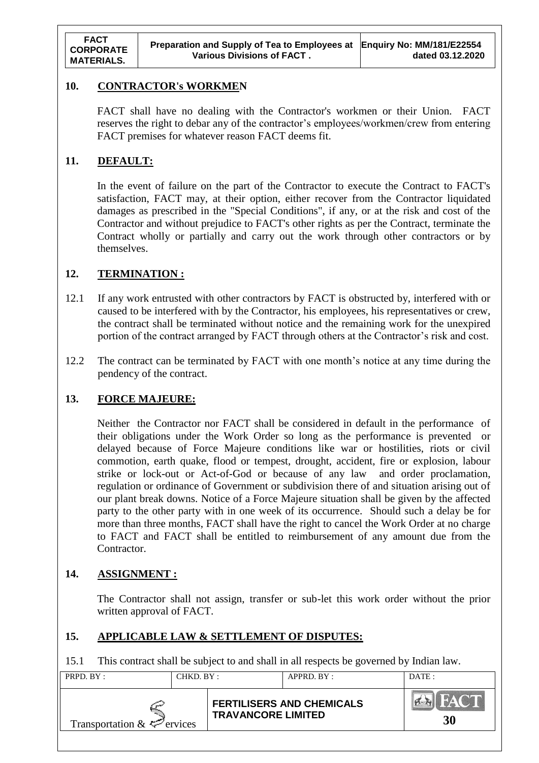#### **10. CONTRACTOR's WORKMEN**

FACT shall have no dealing with the Contractor's workmen or their Union. FACT reserves the right to debar any of the contractor's employees/workmen/crew from entering FACT premises for whatever reason FACT deems fit.

### **11. DEFAULT:**

In the event of failure on the part of the Contractor to execute the Contract to FACT's satisfaction, FACT may, at their option, either recover from the Contractor liquidated damages as prescribed in the "Special Conditions", if any, or at the risk and cost of the Contractor and without prejudice to FACT's other rights as per the Contract, terminate the Contract wholly or partially and carry out the work through other contractors or by themselves.

### **12. TERMINATION :**

- 12.1 If any work entrusted with other contractors by FACT is obstructed by, interfered with or caused to be interfered with by the Contractor, his employees, his representatives or crew, the contract shall be terminated without notice and the remaining work for the unexpired portion of the contract arranged by FACT through others at the Contractor's risk and cost.
- 12.2 The contract can be terminated by FACT with one month's notice at any time during the pendency of the contract.

### **13. FORCE MAJEURE:**

Neither the Contractor nor FACT shall be considered in default in the performance of their obligations under the Work Order so long as the performance is prevented or delayed because of Force Majeure conditions like war or hostilities, riots or civil commotion, earth quake, flood or tempest, drought, accident, fire or explosion, labour strike or lock-out or Act-of-God or because of any law and order proclamation, regulation or ordinance of Government or subdivision there of and situation arising out of our plant break downs. Notice of a Force Majeure situation shall be given by the affected party to the other party with in one week of its occurrence. Should such a delay be for more than three months, FACT shall have the right to cancel the Work Order at no charge to FACT and FACT shall be entitled to reimbursement of any amount due from the Contractor.

### **14. ASSIGNMENT :**

The Contractor shall not assign, transfer or sub-let this work order without the prior written approval of FACT.

#### **15. APPLICABLE LAW & SETTLEMENT OF DISPUTES:**

15.1 This contract shall be subject to and shall in all respects be governed by Indian law.

| PRPD. BY:                       | CHKD. BY: |                           | APPRD. BY:                       | DATE: |
|---------------------------------|-----------|---------------------------|----------------------------------|-------|
| Transportation $\&\&\&$ ervices |           | <b>TRAVANCORE LIMITED</b> | <b>FERTILISERS AND CHEMICALS</b> | 30    |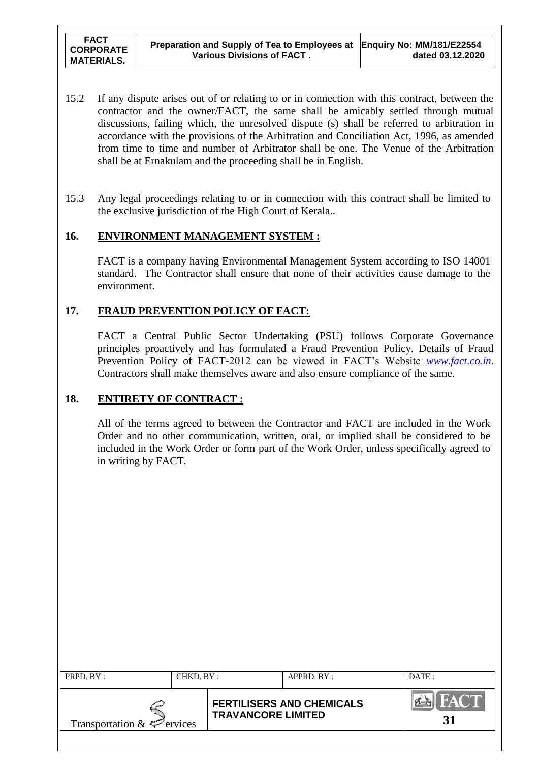- 15.2 If any dispute arises out of or relating to or in connection with this contract, between the contractor and the owner/FACT, the same shall be amicably settled through mutual discussions, failing which, the unresolved dispute (s) shall be referred to arbitration in accordance with the provisions of the Arbitration and Conciliation Act, 1996, as amended from time to time and number of Arbitrator shall be one. The Venue of the Arbitration shall be at Ernakulam and the proceeding shall be in English.
- 15.3 Any legal proceedings relating to or in connection with this contract shall be limited to the exclusive jurisdiction of the High Court of Kerala..

### **16. ENVIRONMENT MANAGEMENT SYSTEM :**

FACT is a company having Environmental Management System according to ISO 14001 standard. The Contractor shall ensure that none of their activities cause damage to the environment.

### **17. FRAUD PREVENTION POLICY OF FACT:**

FACT a Central Public Sector Undertaking (PSU) follows Corporate Governance principles proactively and has formulated a Fraud Prevention Policy. Details of Fraud Prevention Policy of FACT-2012 can be viewed in FACT"s Website *[www.fact.co.in](http://www.fact.co.in/)*. Contractors shall make themselves aware and also ensure compliance of the same.

### **18. ENTIRETY OF CONTRACT :**

All of the terms agreed to between the Contractor and FACT are included in the Work Order and no other communication, written, oral, or implied shall be considered to be included in the Work Order or form part of the Work Order, unless specifically agreed to in writing by FACT.

| PRPD. BY:                       | CHKD. BY: |                           | APPRD. BY:                       | DATE: |
|---------------------------------|-----------|---------------------------|----------------------------------|-------|
| Transportation $\&\&\&$ ervices |           | <b>TRAVANCORE LIMITED</b> | <b>FERTILISERS AND CHEMICALS</b> |       |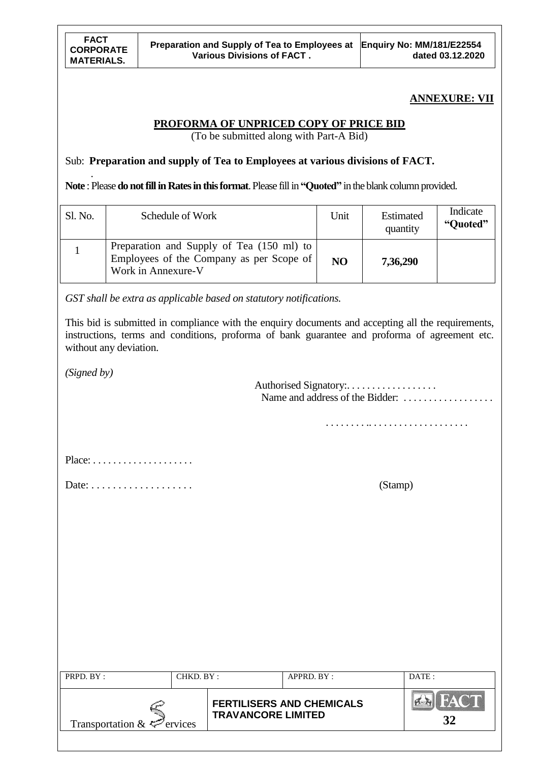## **ANNEXURE: VII**

## **PROFORMA OF UNPRICED COPY OF PRICE BID**

(To be submitted along with Part-A Bid)

## Sub: **Preparation and supply of Tea to Employees at various divisions of FACT.**

. **Note** : Please **do not fill in Rates in this format**. Please fill in **"Quoted"** in the blank column provided.

| Sl. No. | Schedule of Work                                                                                            | Unit           | Estimated<br>quantity | Indicate<br>"Quoted" |
|---------|-------------------------------------------------------------------------------------------------------------|----------------|-----------------------|----------------------|
|         | Preparation and Supply of Tea (150 ml) to<br>Employees of the Company as per Scope of<br>Work in Annexure-V | N <sub>O</sub> | 7,36,290              |                      |

*GST shall be extra as applicable based on statutory notifications.*

This bid is submitted in compliance with the enquiry documents and accepting all the requirements, instructions, terms and conditions, proforma of bank guarantee and proforma of agreement etc. without any deviation.

*(Signed by)*

|                                                   |                           |                                  | Name and address of the Bidder: |
|---------------------------------------------------|---------------------------|----------------------------------|---------------------------------|
|                                                   |                           |                                  |                                 |
|                                                   |                           |                                  |                                 |
| Date: $\ldots \ldots \ldots \ldots \ldots \ldots$ |                           |                                  | (Stamp)                         |
|                                                   |                           |                                  |                                 |
|                                                   |                           |                                  |                                 |
|                                                   |                           |                                  |                                 |
|                                                   |                           |                                  |                                 |
|                                                   |                           |                                  |                                 |
|                                                   |                           |                                  |                                 |
| PRPD. BY:<br>CHKD. BY:                            |                           | APPRD. BY:                       | DATE:                           |
| Transportation & $\leq$ ervices                   | <b>TRAVANCORE LIMITED</b> | <b>FERTILISERS AND CHEMICALS</b> | PAC<br>32                       |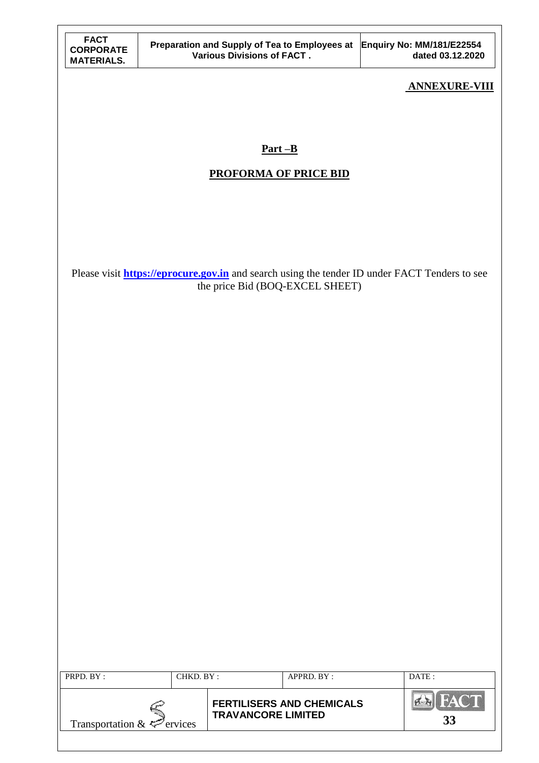| FACT              |
|-------------------|
| <b>CORPORATE</b>  |
| <b>MATERIALS.</b> |

## **ANNEXURE-VIII**

# **Part –B**

## **PROFORMA OF PRICE BID**

Please visit **[https://eprocure.gov.in](https://eprocure.gov.in/)** and search using the tender ID under FACT Tenders to see the price Bid (BOQ-EXCEL SHEET)

| PRPD. BY:                       | CHKD. BY: |                           | APPRD. BY:                       | DATE: |
|---------------------------------|-----------|---------------------------|----------------------------------|-------|
|                                 |           |                           |                                  |       |
| Transportation $\&\&\&$ ervices |           | <b>TRAVANCORE LIMITED</b> | <b>FERTILISERS AND CHEMICALS</b> | 33    |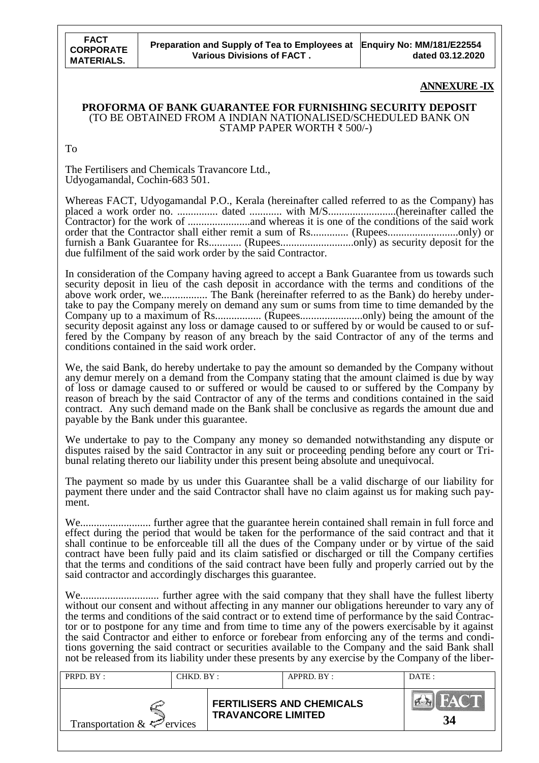#### **ANNEXURE -IX**

#### **PROFORMA OF BANK GUARANTEE FOR FURNISHING SECURITY DEPOSIT** (TO BE OBTAINED FROM A INDIAN NATIONALISED/SCHEDULED BANK ON STAMP PAPER WORTH ₹ 500/-)

To

The Fertilisers and Chemicals Travancore Ltd., Udyogamandal, Cochin-683 501.

Whereas FACT, Udyogamandal P.O., Kerala (hereinafter called referred to as the Company) has placed a work order no. ............... dated ............ with M/S.........................(hereinafter called the Contractor) for the work of .......................and whereas it is one of the conditions of the said work order that the Contractor shall either remit a sum of Rs.............. (Rupees..........................only) or furnish a Bank Guarantee for Rs............ (Rupees...........................only) as security deposit for the due fulfilment of the said work order by the said Contractor.

In consideration of the Company having agreed to accept a Bank Guarantee from us towards such security deposit in lieu of the cash deposit in accordance with the terms and conditions of the above work order, we................. The Bank (hereinafter referred to as the Bank) do hereby undertake to pay the Company merely on demand any sum or sums from time to time demanded by the Company up to a maximum of Rs................. (Rupees.......................only) being the amount of the security deposit against any loss or damage caused to or suffered by or would be caused to or suffered by the Company by reason of any breach by the said Contractor of any of the terms and conditions contained in the said work order.

We, the said Bank, do hereby undertake to pay the amount so demanded by the Company without any demur merely on a demand from the Company stating that the amount claimed is due by way of loss or damage caused to or suffered or would be caused to or suffered by the Company by reason of breach by the said Contractor of any of the terms and conditions contained in the said contract. Any such demand made on the Bank shall be conclusive as regards the amount due and payable by the Bank under this guarantee.

We undertake to pay to the Company any money so demanded notwithstanding any dispute or disputes raised by the said Contractor in any suit or proceeding pending before any court or Tribunal relating thereto our liability under this present being absolute and unequivocal.

The payment so made by us under this Guarantee shall be a valid discharge of our liability for payment there under and the said Contractor shall have no claim against us for making such payment.

We.......................... further agree that the guarantee herein contained shall remain in full force and effect during the period that would be taken for the performance of the said contract and that it shall continue to be enforceable till all the dues of the Company under or by virtue of the said contract have been fully paid and its claim satisfied or discharged or till the Company certifies that the terms and conditions of the said contract have been fully and properly carried out by the said contractor and accordingly discharges this guarantee.

We............................. further agree with the said company that they shall have the fullest liberty without our consent and without affecting in any manner our obligations hereunder to vary any of the terms and conditions of the said contract or to extend time of performance by the said Contractor or to postpone for any time and from time to time any of the powers exercisable by it against the said Contractor and either to enforce or forebear from enforcing any of the terms and conditions governing the said contract or securities available to the Company and the said Bank shall not be released from its liability under these presents by any exercise by the Company of the liber-

| PRPD. BY:                       | CHKD. BY: |                           | APPRD. BY:                       | DATE:       |
|---------------------------------|-----------|---------------------------|----------------------------------|-------------|
| Transportation $\&\leq$ ervices |           | <b>TRAVANCORE LIMITED</b> | <b>FERTILISERS AND CHEMICALS</b> | HACTI<br>34 |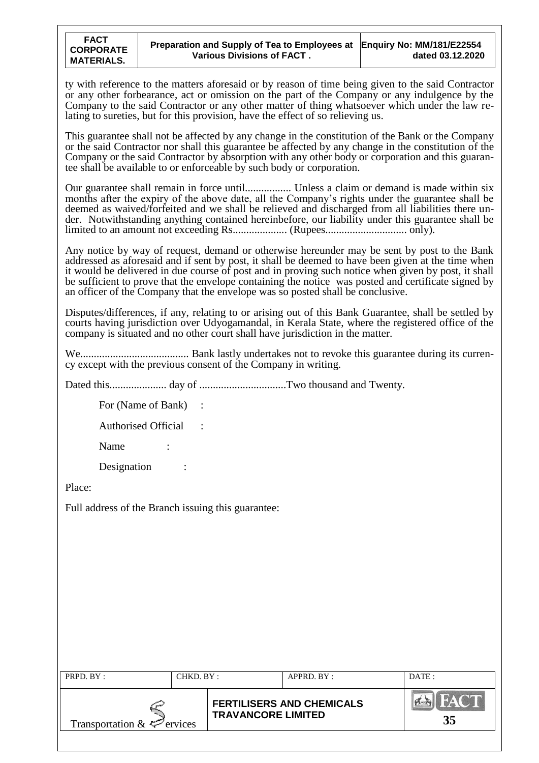ty with reference to the matters aforesaid or by reason of time being given to the said Contractor or any other forbearance, act or omission on the part of the Company or any indulgence by the Company to the said Contractor or any other matter of thing whatsoever which under the law relating to sureties, but for this provision, have the effect of so relieving us.

This guarantee shall not be affected by any change in the constitution of the Bank or the Company or the said Contractor nor shall this guarantee be affected by any change in the constitution of the Company or the said Contractor by absorption with any other body or corporation and this guarantee shall be available to or enforceable by such body or corporation.

Our guarantee shall remain in force until................. Unless a claim or demand is made within six months after the expiry of the above date, all the Company's rights under the guarantee shall be deemed as waived/forfeited and we shall be relieved and discharged from all liabilities there under. Notwithstanding anything contained hereinbefore, our liability under this guarantee shall be limited to an amount not exceeding Rs.................... (Rupees.............................. only).

Any notice by way of request, demand or otherwise hereunder may be sent by post to the Bank addressed as aforesaid and if sent by post, it shall be deemed to have been given at the time when it would be delivered in due course of post and in proving such notice when given by post, it shall be sufficient to prove that the envelope containing the notice was posted and certificate signed by an officer of the Company that the envelope was so posted shall be conclusive.

Disputes/differences, if any, relating to or arising out of this Bank Guarantee, shall be settled by courts having jurisdiction over Udyogamandal, in Kerala State, where the registered office of the company is situated and no other court shall have jurisdiction in the matter.

We........................................ Bank lastly undertakes not to revoke this guarantee during its currency except with the previous consent of the Company in writing.

Dated this..................... day of ................................Two thousand and Twenty.

For (Name of Bank) :

Authorised Official :

Name :

Designation :

Place:

Full address of the Branch issuing this guarantee:

| PRPD. BY:                       | CHKD. BY: |                           | APPRD. BY:                       | DATE: |
|---------------------------------|-----------|---------------------------|----------------------------------|-------|
| Transportation $\&\&\&$ ervices |           | <b>TRAVANCORE LIMITED</b> | <b>FERTILISERS AND CHEMICALS</b> | 35    |